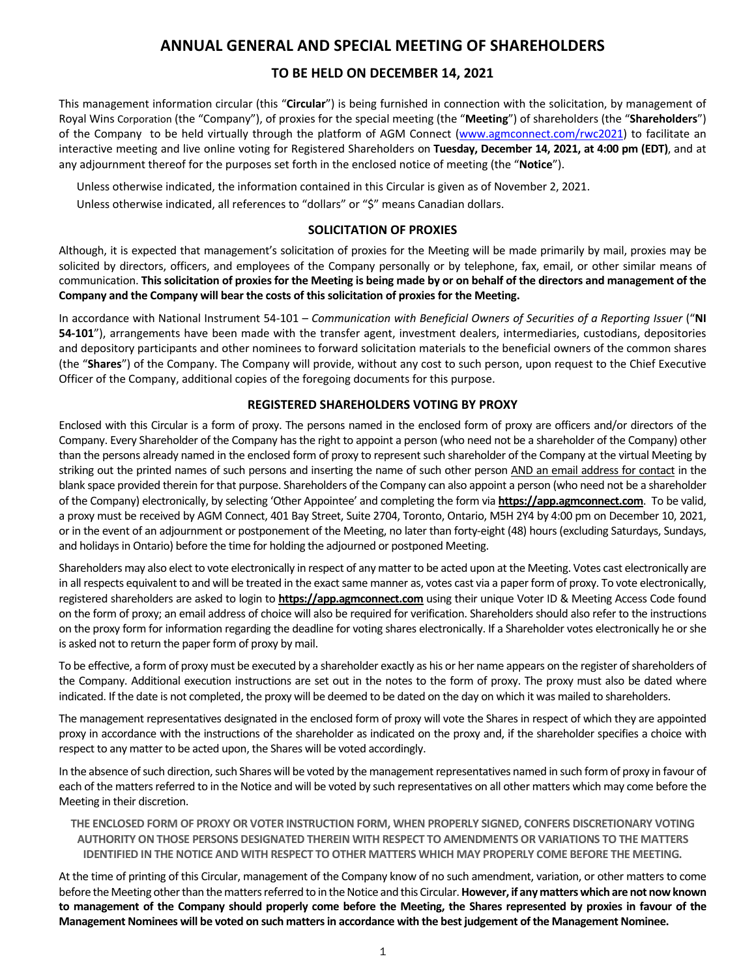## **ANNUAL GENERAL AND SPECIAL MEETING OF SHAREHOLDERS**

## **TO BE HELD ON DECEMBER 14, 2021**

This management information circular (this "**Circular**") is being furnished in connection with the solicitation, by management of Royal Wins Corporation (the "Company"), of proxies for the special meeting (the "**Meeting**") of shareholders (the "**Shareholders**") of the Company to be held virtually through the platform of AGM Connect (www.agmconnect.com/rwc2021) to facilitate an interactive meeting and live online voting for Registered Shareholders on **Tuesday, December 14, 2021, at 4:00 pm (EDT)**, and at any adjournment thereof for the purposes set forth in the enclosed notice of meeting (the "**Notice**").

Unless otherwise indicated, the information contained in this Circular is given as of November 2, 2021.

Unless otherwise indicated, all references to "dollars" or "\$" means Canadian dollars.

## **SOLICITATION OF PROXIES**

Although, it is expected that management's solicitation of proxies for the Meeting will be made primarily by mail, proxies may be solicited by directors, officers, and employees of the Company personally or by telephone, fax, email, or other similar means of communication. **This solicitation of proxies for the Meeting is being made by or on behalf of the directors and management of the Company and the Company will bear the costs of this solicitation of proxies for the Meeting.** 

In accordance with National Instrument 54-101 – *Communication with Beneficial Owners of Securities of a Reporting Issuer* ("**NI 54-101**"), arrangements have been made with the transfer agent, investment dealers, intermediaries, custodians, depositories and depository participants and other nominees to forward solicitation materials to the beneficial owners of the common shares (the "**Shares**") of the Company. The Company will provide, without any cost to such person, upon request to the Chief Executive Officer of the Company, additional copies of the foregoing documents for this purpose.

## **REGISTERED SHAREHOLDERS VOTING BY PROXY**

Enclosed with this Circular is a form of proxy. The persons named in the enclosed form of proxy are officers and/or directors of the Company. Every Shareholder of the Company has the right to appoint a person (who need not be a shareholder of the Company) other than the persons already named in the enclosed form of proxy to represent such shareholder of the Company at the virtual Meeting by striking out the printed names of such persons and inserting the name of such other person AND an email address for contact in the blank space provided therein for that purpose. Shareholders of the Company can also appoint a person (who need not be a shareholder of the Company) electronically, by selecting 'Other Appointee' and completing the form via **https://app.agmconnect.com**.To be valid, a proxy must be received by AGM Connect, 401 Bay Street, Suite 2704, Toronto, Ontario, M5H 2Y4 by 4:00 pm on December 10, 2021, or in the event of an adjournment or postponement of the Meeting, no later than forty-eight (48) hours (excluding Saturdays, Sundays, and holidays in Ontario) before the time for holding the adjourned or postponed Meeting.

Shareholders may also elect to vote electronically in respect of any matter to be acted upon at the Meeting. Votes cast electronically are in all respects equivalent to and will be treated in the exact same manner as, votes cast via a paper form of proxy. To vote electronically, registered shareholders are asked to login to **https://app.agmconnect.com** using their unique Voter ID & Meeting Access Code found on the form of proxy; an email address of choice will also be required for verification. Shareholders should also refer to the instructions on the proxy form for information regarding the deadline for voting shares electronically. If a Shareholder votes electronically he or she is asked not to return the paper form of proxy by mail.

To be effective, a form of proxy must be executed by a shareholder exactly as his or her name appears on the register of shareholders of the Company. Additional execution instructions are set out in the notes to the form of proxy. The proxy must also be dated where indicated. If the date is not completed, the proxy will be deemed to be dated on the day on which it was mailed to shareholders.

The management representatives designated in the enclosed form of proxy will vote the Shares in respect of which they are appointed proxy in accordance with the instructions of the shareholder as indicated on the proxy and, if the shareholder specifies a choice with respect to any matter to be acted upon, the Shares will be voted accordingly.

In the absence of such direction, such Shares will be voted by the management representatives named in such form of proxy in favour of each of the matters referred to in the Notice and will be voted by such representatives on all other matters which may come before the Meeting in their discretion.

**THE ENCLOSED FORM OF PROXY OR VOTER INSTRUCTION FORM, WHEN PROPERLY SIGNED, CONFERS DISCRETIONARY VOTING AUTHORITY ON THOSE PERSONS DESIGNATED THEREIN WITH RESPECT TO AMENDMENTS OR VARIATIONS TO THE MATTERS IDENTIFIED IN THE NOTICE AND WITH RESPECT TO OTHER MATTERS WHICH MAY PROPERLY COME BEFORE THE MEETING.**

At the time of printing of this Circular, management of the Company know of no such amendment, variation, or other matters to come before the Meeting other than the matters referred to in the Notice and this Circular. **However, if any matters which are not now known to management of the Company should properly come before the Meeting, the Shares represented by proxies in favour of the Management Nominees will be voted on such matters in accordance with the best judgement of the Management Nominee.**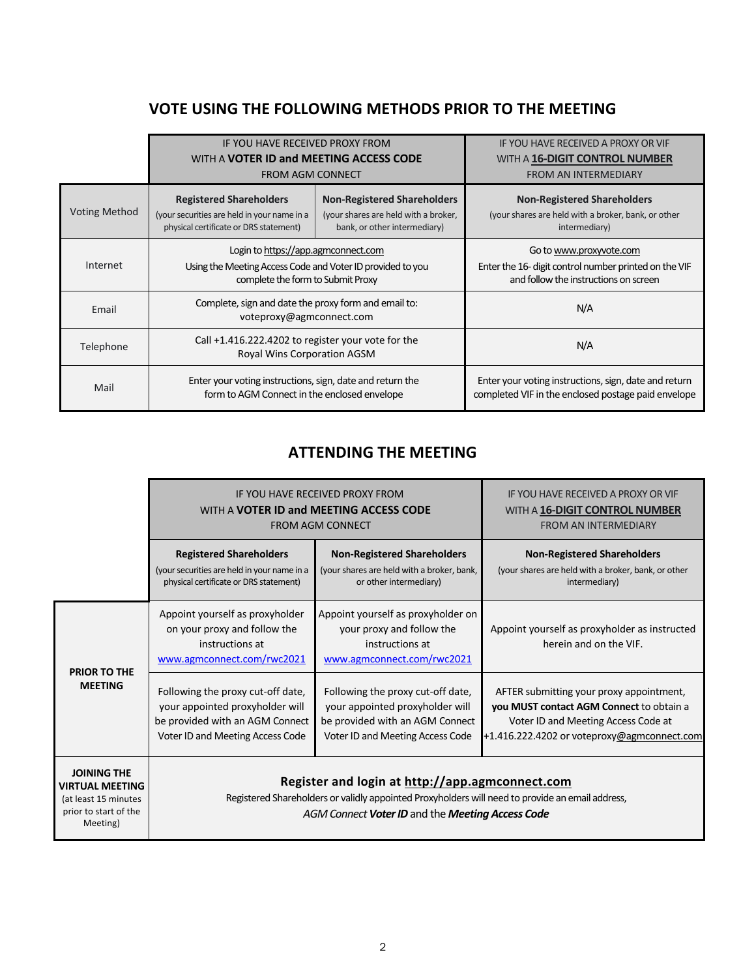# **VOTE USING THE FOLLOWING METHODS PRIOR TO THE MEETING**

|                      | IF YOU HAVE RECEIVED PROXY FROM                                                                                                                                                                                                       |  | IF YOU HAVE RECEIVED A PROXY OR VIF                                                                                       |
|----------------------|---------------------------------------------------------------------------------------------------------------------------------------------------------------------------------------------------------------------------------------|--|---------------------------------------------------------------------------------------------------------------------------|
|                      | WITH A <b>VOTER ID and MEETING ACCESS CODE</b>                                                                                                                                                                                        |  | WITH A 16-DIGIT CONTROL NUMBER                                                                                            |
|                      | <b>FROM AGM CONNECT</b>                                                                                                                                                                                                               |  | <b>FROM AN INTERMEDIARY</b>                                                                                               |
| <b>Voting Method</b> | <b>Non-Registered Shareholders</b><br><b>Registered Shareholders</b><br>(your securities are held in your name in a<br>(your shares are held with a broker,<br>physical certificate or DRS statement)<br>bank, or other intermediary) |  | <b>Non-Registered Shareholders</b><br>(your shares are held with a broker, bank, or other<br>intermediary)                |
| Internet             | Login to https://app.agmconnect.com<br>Using the Meeting Access Code and Voter ID provided to you<br>complete the form to Submit Proxy                                                                                                |  | Go to www.proxyvote.com<br>Enter the 16- digit control number printed on the VIF<br>and follow the instructions on screen |
| Email                | Complete, sign and date the proxy form and email to:<br>voteproxy@agmconnect.com                                                                                                                                                      |  | N/A                                                                                                                       |
| Telephone            | Call +1.416.222.4202 to register your vote for the<br>Royal Wins Corporation AGSM                                                                                                                                                     |  | N/A                                                                                                                       |
| Mail                 | Enter your voting instructions, sign, date and return the<br>form to AGM Connect in the enclosed envelope                                                                                                                             |  | Enter your voting instructions, sign, date and return<br>completed VIF in the enclosed postage paid envelope              |

# **ATTENDING THE MEETING**

|                                                                                                           | IF YOU HAVE RECEIVED PROXY FROM<br>WITH A <b>VOTER ID and MEETING ACCESS CODE</b><br><b>FROM AGM CONNECT</b>                                                                                            | IF YOU HAVE RECEIVED A PROXY OR VIF<br>WITH A 16-DIGIT CONTROL NUMBER<br><b>FROM AN INTERMEDIARY</b>                                        |                                                                                                                                                                            |
|-----------------------------------------------------------------------------------------------------------|---------------------------------------------------------------------------------------------------------------------------------------------------------------------------------------------------------|---------------------------------------------------------------------------------------------------------------------------------------------|----------------------------------------------------------------------------------------------------------------------------------------------------------------------------|
|                                                                                                           | <b>Registered Shareholders</b><br>(your securities are held in your name in a<br>physical certificate or DRS statement)                                                                                 | <b>Non-Registered Shareholders</b><br>(your shares are held with a broker, bank,<br>or other intermediary)                                  | <b>Non-Registered Shareholders</b><br>(your shares are held with a broker, bank, or other<br>intermediary)                                                                 |
| <b>PRIOR TO THE</b><br><b>MEETING</b>                                                                     | Appoint yourself as proxyholder<br>on your proxy and follow the<br>instructions at<br>www.agmconnect.com/rwc2021                                                                                        | Appoint yourself as proxyholder on<br>your proxy and follow the<br>instructions at<br>www.agmconnect.com/rwc2021                            | Appoint yourself as proxyholder as instructed<br>herein and on the VIF.                                                                                                    |
|                                                                                                           | Following the proxy cut-off date,<br>your appointed proxyholder will<br>be provided with an AGM Connect<br>Voter ID and Meeting Access Code                                                             | Following the proxy cut-off date,<br>your appointed proxyholder will<br>be provided with an AGM Connect<br>Voter ID and Meeting Access Code | AFTER submitting your proxy appointment,<br>you MUST contact AGM Connect to obtain a<br>Voter ID and Meeting Access Code at<br>+1.416.222.4202 or voteproxy@agmconnect.com |
| <b>JOINING THE</b><br><b>VIRTUAL MEETING</b><br>(at least 15 minutes<br>prior to start of the<br>Meeting) | Register and login at http://app.agmconnect.com<br>Registered Shareholders or validly appointed Proxyholders will need to provide an email address,<br>AGM Connect Voter ID and the Meeting Access Code |                                                                                                                                             |                                                                                                                                                                            |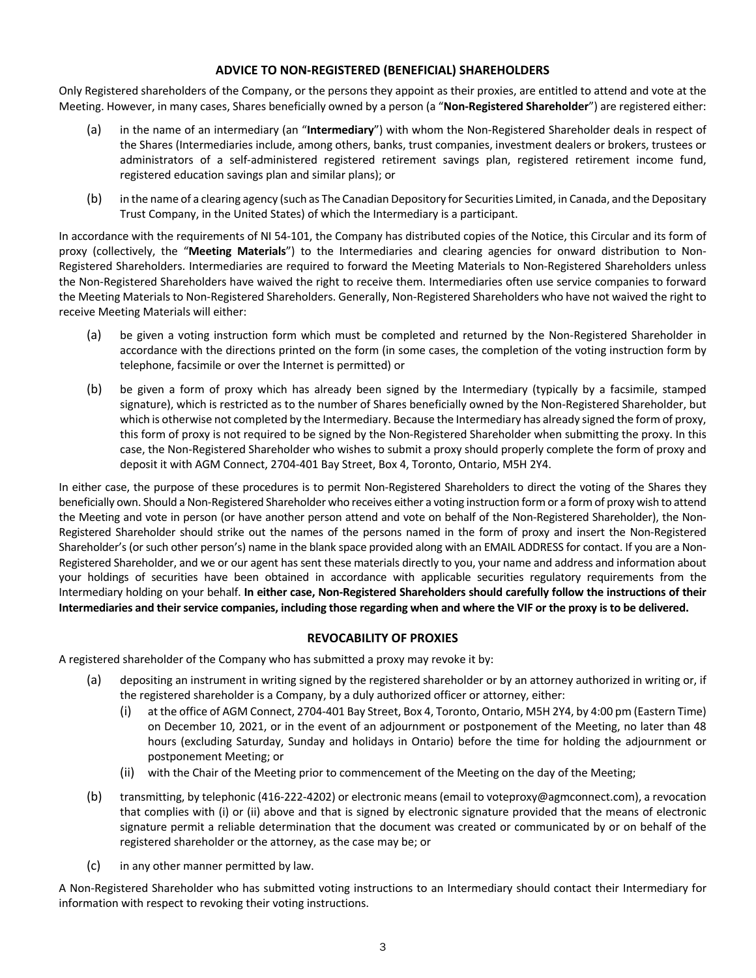## **ADVICE TO NON-REGISTERED (BENEFICIAL) SHAREHOLDERS**

Only Registered shareholders of the Company, or the persons they appoint as their proxies, are entitled to attend and vote at the Meeting. However, in many cases, Shares beneficially owned by a person (a "**Non-Registered Shareholder**") are registered either:

- (a) in the name of an intermediary (an "**Intermediary**") with whom the Non-Registered Shareholder deals in respect of the Shares (Intermediaries include, among others, banks, trust companies, investment dealers or brokers, trustees or administrators of a self-administered registered retirement savings plan, registered retirement income fund, registered education savings plan and similar plans); or
- (b) in the name of a clearing agency (such as The Canadian Depository for Securities Limited, in Canada, and the Depositary Trust Company, in the United States) of which the Intermediary is a participant.

In accordance with the requirements of NI 54-101, the Company has distributed copies of the Notice, this Circular and its form of proxy (collectively, the "**Meeting Materials**") to the Intermediaries and clearing agencies for onward distribution to Non-Registered Shareholders. Intermediaries are required to forward the Meeting Materials to Non-Registered Shareholders unless the Non-Registered Shareholders have waived the right to receive them. Intermediaries often use service companies to forward the Meeting Materials to Non-Registered Shareholders. Generally, Non-Registered Shareholders who have not waived the right to receive Meeting Materials will either:

- (a) be given a voting instruction form which must be completed and returned by the Non-Registered Shareholder in accordance with the directions printed on the form (in some cases, the completion of the voting instruction form by telephone, facsimile or over the Internet is permitted) or
- (b) be given a form of proxy which has already been signed by the Intermediary (typically by a facsimile, stamped signature), which is restricted as to the number of Shares beneficially owned by the Non-Registered Shareholder, but which is otherwise not completed by the Intermediary. Because the Intermediary has already signed the form of proxy, this form of proxy is not required to be signed by the Non-Registered Shareholder when submitting the proxy. In this case, the Non-Registered Shareholder who wishes to submit a proxy should properly complete the form of proxy and deposit it with AGM Connect, 2704-401 Bay Street, Box 4, Toronto, Ontario, M5H 2Y4.

In either case, the purpose of these procedures is to permit Non-Registered Shareholders to direct the voting of the Shares they beneficially own. Should a Non-Registered Shareholder who receives either a voting instruction form or a form of proxy wish to attend the Meeting and vote in person (or have another person attend and vote on behalf of the Non-Registered Shareholder), the Non-Registered Shareholder should strike out the names of the persons named in the form of proxy and insert the Non-Registered Shareholder's (or such other person's) name in the blank space provided along with an EMAIL ADDRESS for contact. If you are a Non-Registered Shareholder, and we or our agent has sent these materials directly to you, your name and address and information about your holdings of securities have been obtained in accordance with applicable securities regulatory requirements from the Intermediary holding on your behalf. **In either case, Non-Registered Shareholders should carefully follow the instructions of their Intermediaries and their service companies, including those regarding when and where the VIF or the proxy is to be delivered.**

## **REVOCABILITY OF PROXIES**

A registered shareholder of the Company who has submitted a proxy may revoke it by:

- (a) depositing an instrument in writing signed by the registered shareholder or by an attorney authorized in writing or, if the registered shareholder is a Company, by a duly authorized officer or attorney, either:
	- (i) at the office of AGM Connect, 2704-401 Bay Street, Box 4, Toronto, Ontario, M5H 2Y4, by 4:00 pm (Eastern Time) on December 10, 2021, or in the event of an adjournment or postponement of the Meeting, no later than 48 hours (excluding Saturday, Sunday and holidays in Ontario) before the time for holding the adjournment or postponement Meeting; or
	- (ii) with the Chair of the Meeting prior to commencement of the Meeting on the day of the Meeting;
- (b) transmitting, by telephonic (416-222-4202) or electronic means (email to voteproxy@agmconnect.com), a revocation that complies with (i) or (ii) above and that is signed by electronic signature provided that the means of electronic signature permit a reliable determination that the document was created or communicated by or on behalf of the registered shareholder or the attorney, as the case may be; or
- (c) in any other manner permitted by law.

A Non-Registered Shareholder who has submitted voting instructions to an Intermediary should contact their Intermediary for information with respect to revoking their voting instructions.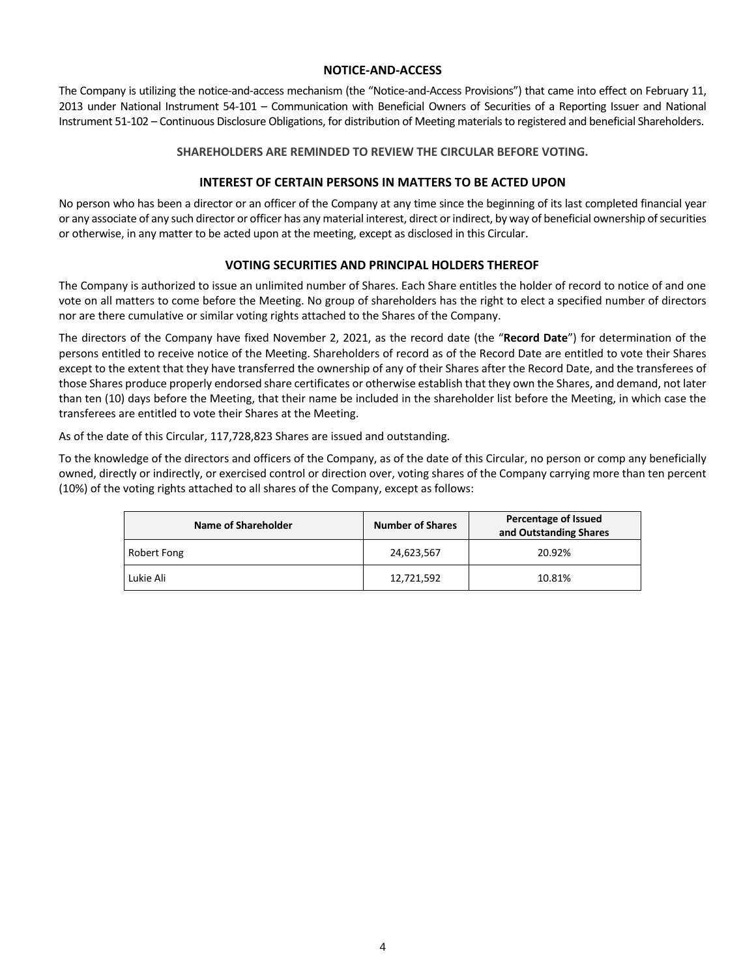## **NOTICE-AND-ACCESS**

The Company is utilizing the notice-and-access mechanism (the "Notice-and-Access Provisions") that came into effect on February 11, 2013 under National Instrument 54-101 – Communication with Beneficial Owners of Securities of a Reporting Issuer and National Instrument 51-102 – Continuous Disclosure Obligations, for distribution of Meeting materials to registered and beneficial Shareholders.

### **SHAREHOLDERS ARE REMINDED TO REVIEW THE CIRCULAR BEFORE VOTING.**

## **INTEREST OF CERTAIN PERSONS IN MATTERS TO BE ACTED UPON**

No person who has been a director or an officer of the Company at any time since the beginning of its last completed financial year or any associate of any such director or officer has any material interest, direct or indirect, by way of beneficial ownership of securities or otherwise, in any matter to be acted upon at the meeting, except as disclosed in this Circular.

## **VOTING SECURITIES AND PRINCIPAL HOLDERS THEREOF**

The Company is authorized to issue an unlimited number of Shares. Each Share entitles the holder of record to notice of and one vote on all matters to come before the Meeting. No group of shareholders has the right to elect a specified number of directors nor are there cumulative or similar voting rights attached to the Shares of the Company.

The directors of the Company have fixed November 2, 2021, as the record date (the "**Record Date**") for determination of the persons entitled to receive notice of the Meeting. Shareholders of record as of the Record Date are entitled to vote their Shares except to the extent that they have transferred the ownership of any of their Shares after the Record Date, and the transferees of those Shares produce properly endorsed share certificates or otherwise establish that they own the Shares, and demand, not later than ten (10) days before the Meeting, that their name be included in the shareholder list before the Meeting, in which case the transferees are entitled to vote their Shares at the Meeting.

As of the date of this Circular, 117,728,823 Shares are issued and outstanding.

To the knowledge of the directors and officers of the Company, as of the date of this Circular, no person or comp any beneficially owned, directly or indirectly, or exercised control or direction over, voting shares of the Company carrying more than ten percent (10%) of the voting rights attached to all shares of the Company, except as follows:

| Name of Shareholder | <b>Number of Shares</b> | Percentage of Issued<br>and Outstanding Shares |  |
|---------------------|-------------------------|------------------------------------------------|--|
| Robert Fong         | 24,623,567              | 20.92%                                         |  |
| Lukie Ali           | 12,721,592              | 10.81%                                         |  |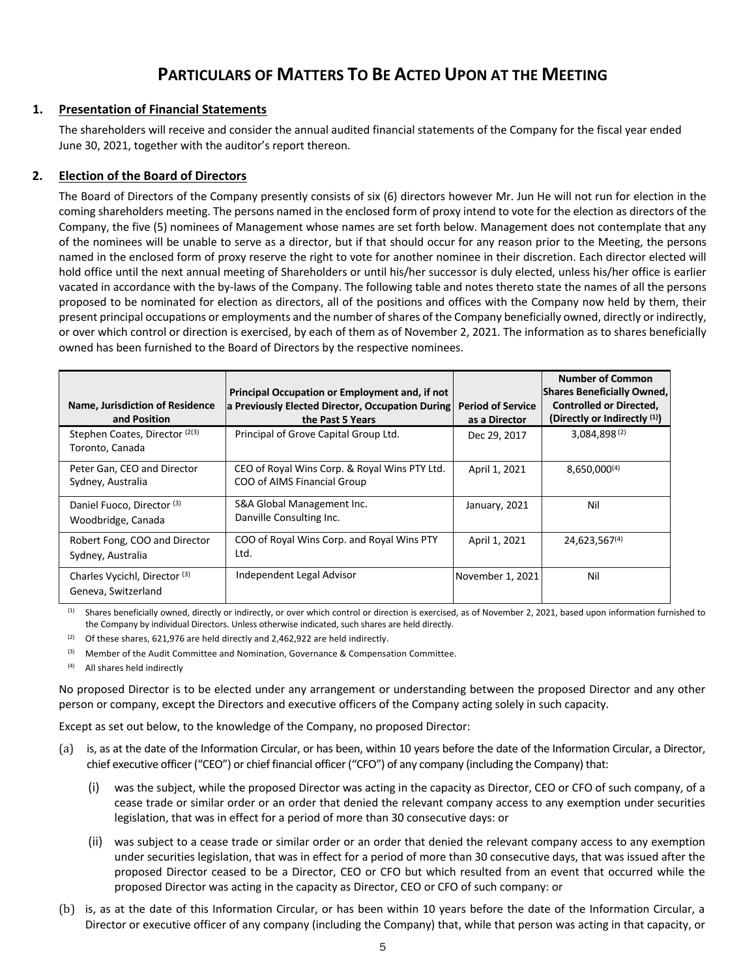# **PARTICULARS OF MATTERS TO BE ACTED UPON AT THE MEETING**

## **1. Presentation of Financial Statements**

The shareholders will receive and consider the annual audited financial statements of the Company for the fiscal year ended June 30, 2021, together with the auditor's report thereon.

## **2. Election of the Board of Directors**

The Board of Directors of the Company presently consists of six (6) directors however Mr. Jun He will not run for election in the coming shareholders meeting. The persons named in the enclosed form of proxy intend to vote for the election as directors of the Company, the five (5) nominees of Management whose names are set forth below. Management does not contemplate that any of the nominees will be unable to serve as a director, but if that should occur for any reason prior to the Meeting, the persons named in the enclosed form of proxy reserve the right to vote for another nominee in their discretion. Each director elected will hold office until the next annual meeting of Shareholders or until his/her successor is duly elected, unless his/her office is earlier vacated in accordance with the by-laws of the Company. The following table and notes thereto state the names of all the persons proposed to be nominated for election as directors, all of the positions and offices with the Company now held by them, their present principal occupations or employments and the number of shares of the Company beneficially owned, directly or indirectly, or over which control or direction is exercised, by each of them as of November 2, 2021. The information as to shares beneficially owned has been furnished to the Board of Directors by the respective nominees.

|                                                                 | Principal Occupation or Employment and, if not                               |                                           | <b>Number of Common</b><br><b>Shares Beneficially Owned,</b>   |
|-----------------------------------------------------------------|------------------------------------------------------------------------------|-------------------------------------------|----------------------------------------------------------------|
| Name, Jurisdiction of Residence<br>and Position                 | a Previously Elected Director, Occupation During<br>the Past 5 Years         | <b>Period of Service</b><br>as a Director | <b>Controlled or Directed,</b><br>(Directly or Indirectly (1)) |
| Stephen Coates, Director (2(3)<br>Toronto, Canada               | Principal of Grove Capital Group Ltd.                                        | Dec 29, 2017                              | 3,084,898(2)                                                   |
| Peter Gan, CEO and Director<br>Sydney, Australia                | CEO of Royal Wins Corp. & Royal Wins PTY Ltd.<br>COO of AIMS Financial Group | April 1, 2021                             | 8,650,000(4)                                                   |
| Daniel Fuoco, Director <sup>(3)</sup><br>Woodbridge, Canada     | S&A Global Management Inc.<br>Danville Consulting Inc.                       | January, 2021                             | Nil                                                            |
| Robert Fong, COO and Director<br>Sydney, Australia              | COO of Royal Wins Corp. and Royal Wins PTY<br>Ltd.                           | April 1, 2021                             | 24,623,567(4)                                                  |
| Charles Vycichl, Director <sup>(3)</sup><br>Geneva, Switzerland | Independent Legal Advisor                                                    | November 1, 2021                          | Nil                                                            |

(1) Shares beneficially owned, directly or indirectly, or over which control or direction is exercised, as of November 2, 2021, based upon information furnished to the Company by individual Directors. Unless otherwise indicated, such shares are held directly.

- (2) Of these shares, 621,976 are held directly and 2,462,922 are held indirectly.
- (3) Member of the Audit Committee and Nomination, Governance & Compensation Committee.
- (4) All shares held indirectly

No proposed Director is to be elected under any arrangement or understanding between the proposed Director and any other person or company, except the Directors and executive officers of the Company acting solely in such capacity.

Except as set out below, to the knowledge of the Company, no proposed Director:

- (a) is, as at the date of the Information Circular, or has been, within 10 years before the date of the Information Circular, a Director, chief executive officer ("CEO") or chief financial officer ("CFO") of any company (including the Company) that:
	- (i) was the subject, while the proposed Director was acting in the capacity as Director, CEO or CFO of such company, of a cease trade or similar order or an order that denied the relevant company access to any exemption under securities legislation, that was in effect for a period of more than 30 consecutive days: or
	- (ii) was subject to a cease trade or similar order or an order that denied the relevant company access to any exemption under securities legislation, that was in effect for a period of more than 30 consecutive days, that was issued after the proposed Director ceased to be a Director, CEO or CFO but which resulted from an event that occurred while the proposed Director was acting in the capacity as Director, CEO or CFO of such company: or
- (b) is, as at the date of this Information Circular, or has been within 10 years before the date of the Information Circular, a Director or executive officer of any company (including the Company) that, while that person was acting in that capacity, or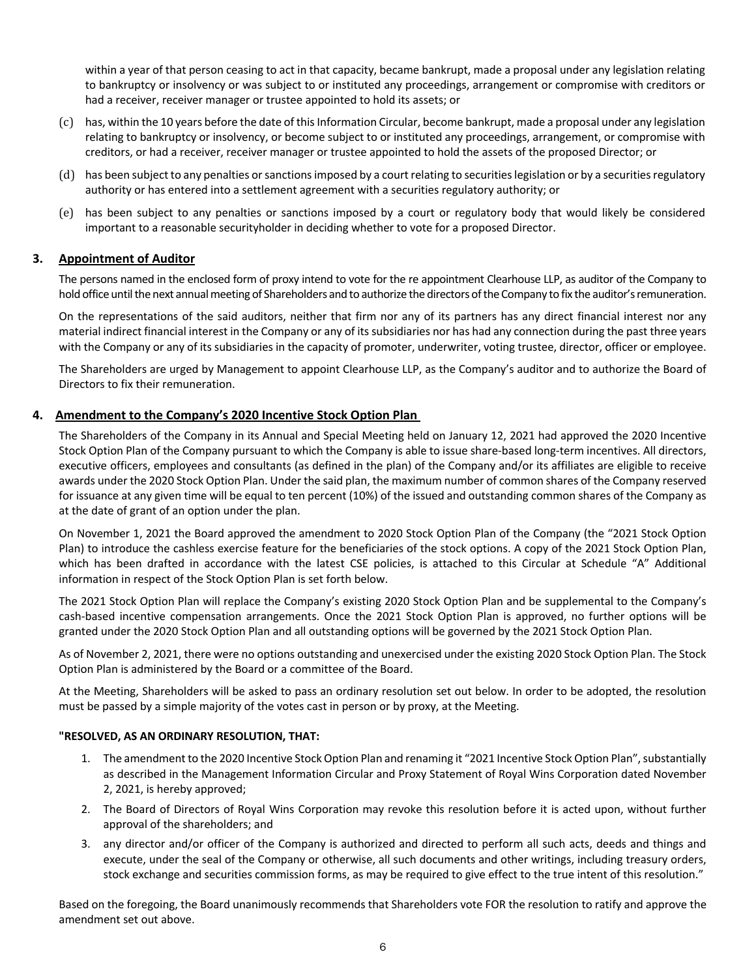within a year of that person ceasing to act in that capacity, became bankrupt, made a proposal under any legislation relating to bankruptcy or insolvency or was subject to or instituted any proceedings, arrangement or compromise with creditors or had a receiver, receiver manager or trustee appointed to hold its assets; or

- (c) has, within the 10 years before the date of this Information Circular, become bankrupt, made a proposal under any legislation relating to bankruptcy or insolvency, or become subject to or instituted any proceedings, arrangement, or compromise with creditors, or had a receiver, receiver manager or trustee appointed to hold the assets of the proposed Director; or
- (d) has been subject to any penalties or sanctions imposed by a court relating to securities legislation or by a securities regulatory authority or has entered into a settlement agreement with a securities regulatory authority; or
- (e) has been subject to any penalties or sanctions imposed by a court or regulatory body that would likely be considered important to a reasonable securityholder in deciding whether to vote for a proposed Director.

## **3. Appointment of Auditor**

The persons named in the enclosed form of proxy intend to vote for the re appointment Clearhouse LLP, as auditor of the Company to hold office until the next annual meeting of Shareholders and to authorize the directors of the Company to fix the auditor's remuneration.

On the representations of the said auditors, neither that firm nor any of its partners has any direct financial interest nor any material indirect financial interest in the Company or any of its subsidiaries nor has had any connection during the past three years with the Company or any of its subsidiaries in the capacity of promoter, underwriter, voting trustee, director, officer or employee.

The Shareholders are urged by Management to appoint Clearhouse LLP, as the Company's auditor and to authorize the Board of Directors to fix their remuneration.

## **4. Amendment to the Company's 2020 Incentive Stock Option Plan**

The Shareholders of the Company in its Annual and Special Meeting held on January 12, 2021 had approved the 2020 Incentive Stock Option Plan of the Company pursuant to which the Company is able to issue share-based long-term incentives. All directors, executive officers, employees and consultants (as defined in the plan) of the Company and/or its affiliates are eligible to receive awards under the 2020 Stock Option Plan. Under the said plan, the maximum number of common shares of the Company reserved for issuance at any given time will be equal to ten percent (10%) of the issued and outstanding common shares of the Company as at the date of grant of an option under the plan.

On November 1, 2021 the Board approved the amendment to 2020 Stock Option Plan of the Company (the "2021 Stock Option Plan) to introduce the cashless exercise feature for the beneficiaries of the stock options. A copy of the 2021 Stock Option Plan, which has been drafted in accordance with the latest CSE policies, is attached to this Circular at Schedule "A" Additional information in respect of the Stock Option Plan is set forth below.

The 2021 Stock Option Plan will replace the Company's existing 2020 Stock Option Plan and be supplemental to the Company's cash-based incentive compensation arrangements. Once the 2021 Stock Option Plan is approved, no further options will be granted under the 2020 Stock Option Plan and all outstanding options will be governed by the 2021 Stock Option Plan.

As of November 2, 2021, there were no options outstanding and unexercised under the existing 2020 Stock Option Plan. The Stock Option Plan is administered by the Board or a committee of the Board.

At the Meeting, Shareholders will be asked to pass an ordinary resolution set out below. In order to be adopted, the resolution must be passed by a simple majority of the votes cast in person or by proxy, at the Meeting.

## **"RESOLVED, AS AN ORDINARY RESOLUTION, THAT:**

- 1. The amendment to the 2020 Incentive Stock Option Plan and renaming it "2021 Incentive Stock Option Plan", substantially as described in the Management Information Circular and Proxy Statement of Royal Wins Corporation dated November 2, 2021, is hereby approved;
- 2. The Board of Directors of Royal Wins Corporation may revoke this resolution before it is acted upon, without further approval of the shareholders; and
- 3. any director and/or officer of the Company is authorized and directed to perform all such acts, deeds and things and execute, under the seal of the Company or otherwise, all such documents and other writings, including treasury orders, stock exchange and securities commission forms, as may be required to give effect to the true intent of this resolution."

Based on the foregoing, the Board unanimously recommends that Shareholders vote FOR the resolution to ratify and approve the amendment set out above.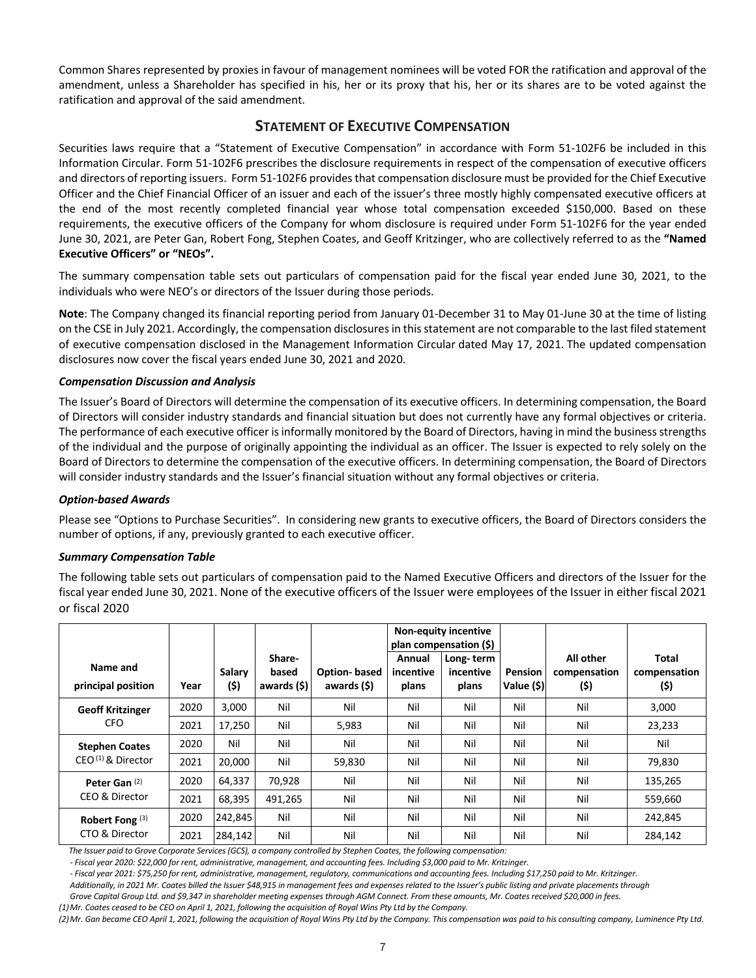Common Shares represented by proxies in favour of management nominees will be voted FOR the ratification and approval of the amendment, unless a Shareholder has specified in his, her or its proxy that his, her or its shares are to be voted against the ratification and approval of the said amendment.

## **STATEMENT OF EXECUTIVE COMPENSATION**

Securities laws require that a "Statement of Executive Compensation" in accordance with Form 51-102F6 be included in this Information Circular. Form 51-102F6 prescribes the disclosure requirements in respect of the compensation of executive officers and directors of reporting issuers. Form 51-102F6 provides that compensation disclosure must be provided for the Chief Executive Officer and the Chief Financial Officer of an issuer and each of the issuer's three mostly highly compensated executive officers at the end of the most recently completed financial year whose total compensation exceeded \$150,000. Based on these requirements, the executive officers of the Company for whom disclosure is required under Form 51-102F6 for the year ended June 30, 2021, are Peter Gan, Robert Fong, Stephen Coates, and Geoff Kritzinger, who are collectively referred to as the **"Named Executive Officers" or "NEOs".** 

The summary compensation table sets out particulars of compensation paid for the fiscal year ended June 30, 2021, to the individuals who were NEO's or directors of the Issuer during those periods.

**Note**: The Company changed its financial reporting period from January 01-December 31 to May 01-June 30 at the time of listing on the CSE in July 2021. Accordingly, the compensation disclosures in this statement are not comparable to the last filed statement of executive compensation disclosed in the Management Information Circular dated May 17, 2021. The updated compensation disclosures now cover the fiscal years ended June 30, 2021 and 2020.

## *Compensation Discussion and Analysis*

The Issuer's Board of Directors will determine the compensation of its executive officers. In determining compensation, the Board of Directors will consider industry standards and financial situation but does not currently have any formal objectives or criteria. The performance of each executive officer is informally monitored by the Board of Directors, having in mind the business strengths of the individual and the purpose of originally appointing the individual as an officer. The Issuer is expected to rely solely on the Board of Directors to determine the compensation of the executive officers. In determining compensation, the Board of Directors will consider industry standards and the Issuer's financial situation without any formal objectives or criteria.

## *Option-based Awards*

Please see "Options to Purchase Securities". In considering new grants to executive officers, the Board of Directors considers the number of options, if any, previously granted to each executive officer.

## *Summary Compensation Table*

The following table sets out particulars of compensation paid to the Named Executive Officers and directors of the Issuer for the fiscal year ended June 30, 2021. None of the executive officers of the Issuer were employees of the Issuer in either fiscal 2021 or fiscal 2020

|                                |      |                |                                |                                    |                              | <b>Non-equity incentive</b><br>plan compensation (\$) |                       |                                   |                               |
|--------------------------------|------|----------------|--------------------------------|------------------------------------|------------------------------|-------------------------------------------------------|-----------------------|-----------------------------------|-------------------------------|
| Name and<br>principal position | Year | Salary<br>(\$) | Share-<br>based<br>awards (\$) | <b>Option-based</b><br>awards (\$) | Annual<br>incentive<br>plans | Long-term<br>incentive<br>plans                       | Pension<br>Value (\$) | All other<br>compensation<br>(\$) | Total<br>compensation<br>(\$) |
| <b>Geoff Kritzinger</b>        | 2020 | 3,000          | Nil                            | Nil                                | Nil                          | Nil                                                   | Nil                   | Nil                               | 3,000                         |
| <b>CFO</b>                     | 2021 | 17,250         | Nil                            | 5,983                              | Nil                          | Nil                                                   | Nil                   | Nil                               | 23,233                        |
| <b>Stephen Coates</b>          | 2020 | Nil            | Nil                            | Nil                                | Nil                          | Nil                                                   | Nil                   | Nil                               | Nil                           |
| $CEO(1)$ & Director            | 2021 | 20,000         | Nil                            | 59,830                             | Nil                          | Nil                                                   | Nil                   | Nil                               | 79,830                        |
| Peter Gan (2)                  | 2020 | 64,337         | 70,928                         | Nil                                | Nil                          | Nil                                                   | Nil                   | Nil                               | 135,265                       |
| CEO & Director                 | 2021 | 68,395         | 491,265                        | Nil                                | Nil                          | Nil                                                   | Nil                   | Nil                               | 559,660                       |
| Robert Fong $(3)$              | 2020 | 242,845        | Nil                            | Nil                                | Nil                          | Nil                                                   | Nil                   | Nil                               | 242,845                       |
| CTO & Director                 | 2021 | 284,142        | Nil                            | Nil                                | Nil                          | Nil                                                   | Nil                   | Nil                               | 284,142                       |

 *The Issuer paid to Grove Corporate Services (GCS), a company controlled by Stephen Coates, the following compensation:*

*- Fiscal year 2020: \$22,000 for rent, administrative, management, and accounting fees. Including \$3,000 paid to Mr. Kritzinger.*

*- Fiscal year 2021: \$75,250 for rent, administrative, management, regulatory, communications and accounting fees. Including \$17,250 paid to Mr. Kritzinger.*

*Additionally, in 2021 Mr. Coates billed the Issuer \$48,915 in management fees and expenses related to the Issuer's public listing and private placements through* 

*Grove Capital Group Ltd. and \$9,347 in shareholder meeting expenses through AGM Connect. From these amounts, Mr. Coates received \$20,000 in fees.*

*(1)Mr. Coates ceased to be CEO on April 1, 2021, following the acquisition of Royal Wins Pty Ltd by the Company.*

*(2)Mr. Gan became CEO April 1, 2021, following the acquisition of Royal Wins Pty Ltd by the Company. This compensation was paid to his consulting company, Luminence Pty Ltd.*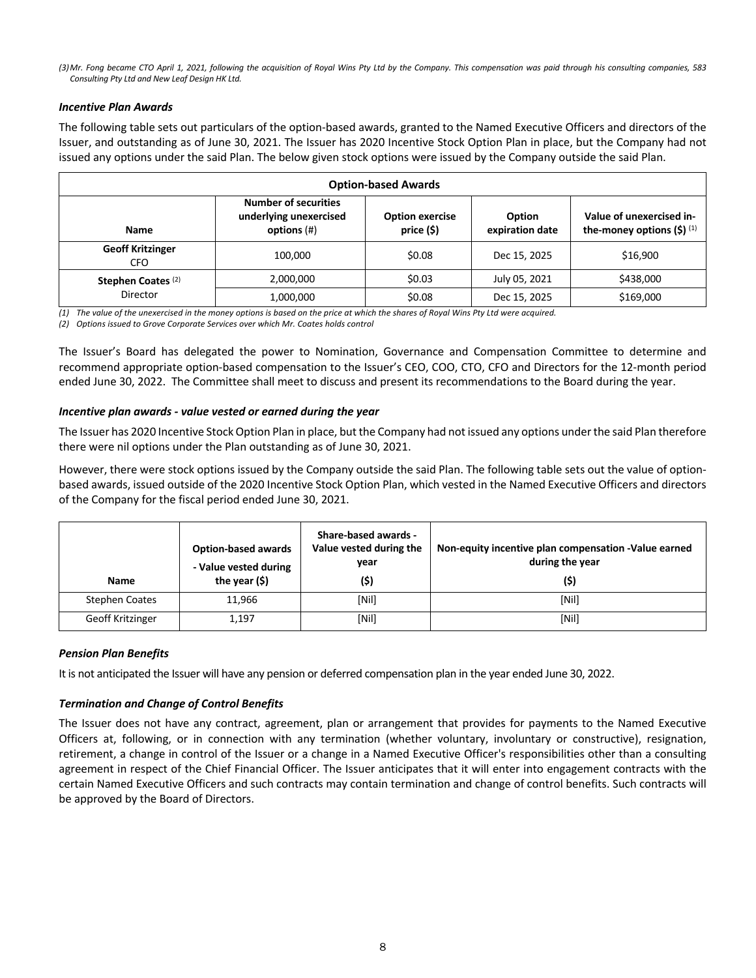*(3)Mr. Fong became CTO April 1, 2021, following the acquisition of Royal Wins Pty Ltd by the Company. This compensation was paid through his consulting companies, 583 Consulting Pty Ltd and New Leaf Design HK Ltd.*

### *Incentive Plan Awards*

The following table sets out particulars of the option-based awards, granted to the Named Executive Officers and directors of the Issuer, and outstanding as of June 30, 2021. The Issuer has 2020 Incentive Stock Option Plan in place, but the Company had not issued any options under the said Plan. The below given stock options were issued by the Company outside the said Plan.

| <b>Option-based Awards</b>                                                                                                                                                                                              |           |        |               |           |  |  |  |
|-------------------------------------------------------------------------------------------------------------------------------------------------------------------------------------------------------------------------|-----------|--------|---------------|-----------|--|--|--|
| <b>Number of securities</b><br>underlying unexercised<br>Value of unexercised in-<br><b>Option exercise</b><br>Option<br>price (\$)<br>options $(#)$<br>expiration date<br>the-money options $(5)^{(1)}$<br><b>Name</b> |           |        |               |           |  |  |  |
| <b>Geoff Kritzinger</b><br><b>CFO</b>                                                                                                                                                                                   | 100.000   | \$0.08 | Dec 15, 2025  | \$16,900  |  |  |  |
| Stephen Coates <sup>(2)</sup>                                                                                                                                                                                           | 2,000,000 | \$0.03 | July 05, 2021 | \$438,000 |  |  |  |
| Director                                                                                                                                                                                                                | 1,000,000 | \$0.08 | Dec 15, 2025  | \$169,000 |  |  |  |

*(1) The value of the unexercised in the money options is based on the price at which the shares of Royal Wins Pty Ltd were acquired.*

*(2) Options issued to Grove Corporate Services over which Mr. Coates holds control*

The Issuer's Board has delegated the power to Nomination, Governance and Compensation Committee to determine and recommend appropriate option-based compensation to the Issuer's CEO, COO, CTO, CFO and Directors for the 12-month period ended June 30, 2022. The Committee shall meet to discuss and present its recommendations to the Board during the year.

## *Incentive plan awards - value vested or earned during the year*

The Issuer has 2020 Incentive Stock Option Plan in place, but the Company had not issued any options under the said Plan therefore there were nil options under the Plan outstanding as of June 30, 2021.

However, there were stock options issued by the Company outside the said Plan. The following table sets out the value of optionbased awards, issued outside of the 2020 Incentive Stock Option Plan, which vested in the Named Executive Officers and directors of the Company for the fiscal period ended June 30, 2021.

| <b>Name</b>      | <b>Option-based awards</b><br>- Value vested during<br>the year $($ \$) | Share-based awards -<br>Value vested during the<br>year<br>(\$) | Non-equity incentive plan compensation -Value earned<br>during the year<br>(\$) |
|------------------|-------------------------------------------------------------------------|-----------------------------------------------------------------|---------------------------------------------------------------------------------|
| Stephen Coates   | 11.966                                                                  | [Nil]                                                           | [Nill]                                                                          |
| Geoff Kritzinger | 1,197                                                                   | [Nil]                                                           | [Nil]                                                                           |

#### *Pension Plan Benefits*

It is not anticipated the Issuer will have any pension or deferred compensation plan in the year ended June 30, 2022.

## *Termination and Change of Control Benefits*

The Issuer does not have any contract, agreement, plan or arrangement that provides for payments to the Named Executive Officers at, following, or in connection with any termination (whether voluntary, involuntary or constructive), resignation, retirement, a change in control of the Issuer or a change in a Named Executive Officer's responsibilities other than a consulting agreement in respect of the Chief Financial Officer. The Issuer anticipates that it will enter into engagement contracts with the certain Named Executive Officers and such contracts may contain termination and change of control benefits. Such contracts will be approved by the Board of Directors.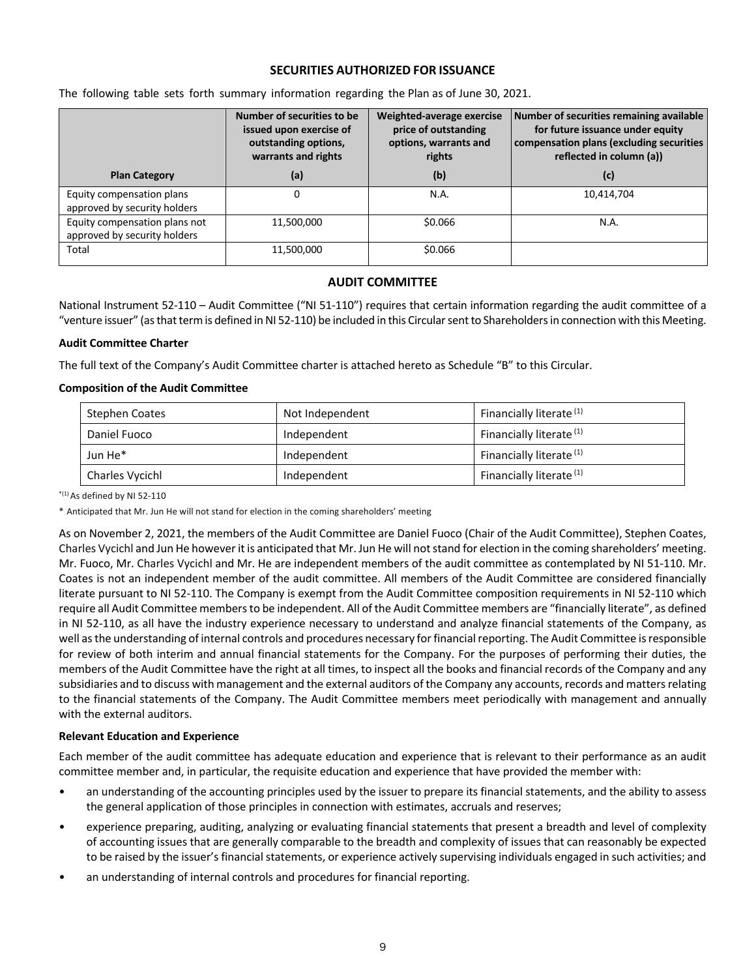## **SECURITIES AUTHORIZED FOR ISSUANCE**

|                                                               | Number of securities to be<br>issued upon exercise of<br>outstanding options,<br>warrants and rights | Weighted-average exercise<br>price of outstanding<br>options, warrants and<br>rights | Number of securities remaining available<br>for future issuance under equity<br>compensation plans (excluding securities<br>reflected in column (a)) |
|---------------------------------------------------------------|------------------------------------------------------------------------------------------------------|--------------------------------------------------------------------------------------|------------------------------------------------------------------------------------------------------------------------------------------------------|
| <b>Plan Category</b>                                          | (a)                                                                                                  | (b)                                                                                  | (c)                                                                                                                                                  |
| Equity compensation plans<br>approved by security holders     |                                                                                                      | N.A.                                                                                 | 10,414,704                                                                                                                                           |
| Equity compensation plans not<br>approved by security holders | 11,500,000                                                                                           | \$0.066                                                                              | N.A.                                                                                                                                                 |
| Total                                                         | 11,500,000                                                                                           | \$0.066                                                                              |                                                                                                                                                      |

The following table sets forth summary information regarding the Plan as of June 30, 2021.

## **AUDIT COMMITTEE**

National Instrument 52-110 – Audit Committee ("NI 51-110") requires that certain information regarding the audit committee of a "venture issuer" (as that term is defined in NI 52-110) be included in this Circular sent to Shareholders in connection with this Meeting.

### **Audit Committee Charter**

The full text of the Company's Audit Committee charter is attached hereto as Schedule "B" to this Circular.

### **Composition of the Audit Committee**

| <b>Stephen Coates</b> | Not Independent | Financially literate <sup>(1)</sup> |
|-----------------------|-----------------|-------------------------------------|
| Daniel Fuoco          | Independent     | Financially literate <sup>(1)</sup> |
| Jun He <sup>*</sup>   | Independent     | Financially literate <sup>(1)</sup> |
| Charles Vycichl       | Independent     | Financially literate <sup>(1)</sup> |

 $*$ <sup>(1)</sup> As defined by NI 52-110

\* Anticipated that Mr. Jun He will not stand for election in the coming shareholders' meeting

As on November 2, 2021, the members of the Audit Committee are Daniel Fuoco (Chair of the Audit Committee), Stephen Coates, Charles Vycichl and Jun He however it is anticipated that Mr. Jun He will not stand for election in the coming shareholders' meeting. Mr. Fuoco, Mr. Charles Vycichl and Mr. He are independent members of the audit committee as contemplated by NI 51-110. Mr. Coates is not an independent member of the audit committee. All members of the Audit Committee are considered financially literate pursuant to NI 52-110. The Company is exempt from the Audit Committee composition requirements in NI 52-110 which require all Audit Committee members to be independent. All of the Audit Committee members are "financially literate", as defined in NI 52-110, as all have the industry experience necessary to understand and analyze financial statements of the Company, as well as the understanding of internal controls and procedures necessary for financial reporting. The Audit Committee is responsible for review of both interim and annual financial statements for the Company. For the purposes of performing their duties, the members of the Audit Committee have the right at all times, to inspect all the books and financial records of the Company and any subsidiaries and to discuss with management and the external auditors of the Company any accounts, records and matters relating to the financial statements of the Company. The Audit Committee members meet periodically with management and annually with the external auditors.

#### **Relevant Education and Experience**

Each member of the audit committee has adequate education and experience that is relevant to their performance as an audit committee member and, in particular, the requisite education and experience that have provided the member with:

- an understanding of the accounting principles used by the issuer to prepare its financial statements, and the ability to assess the general application of those principles in connection with estimates, accruals and reserves;
- experience preparing, auditing, analyzing or evaluating financial statements that present a breadth and level of complexity of accounting issues that are generally comparable to the breadth and complexity of issues that can reasonably be expected to be raised by the issuer's financial statements, or experience actively supervising individuals engaged in such activities; and
- an understanding of internal controls and procedures for financial reporting.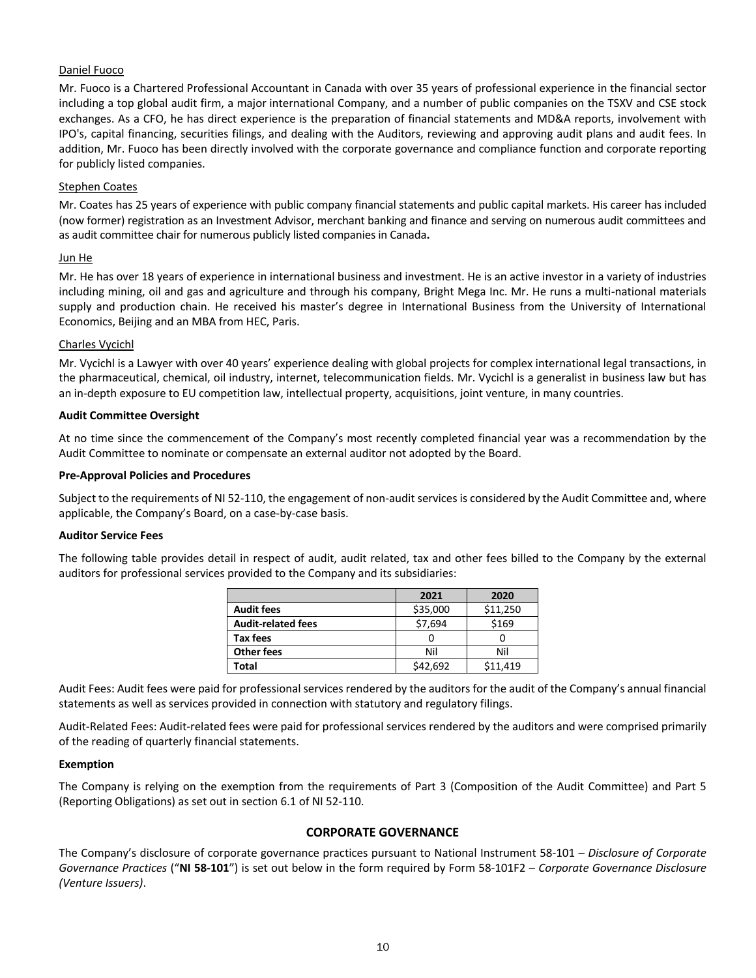## Daniel Fuoco

Mr. Fuoco is a Chartered Professional Accountant in Canada with over 35 years of professional experience in the financial sector including a top global audit firm, a major international Company, and a number of public companies on the TSXV and CSE stock exchanges. As a CFO, he has direct experience is the preparation of financial statements and MD&A reports, involvement with IPO's, capital financing, securities filings, and dealing with the Auditors, reviewing and approving audit plans and audit fees. In addition, Mr. Fuoco has been directly involved with the corporate governance and compliance function and corporate reporting for publicly listed companies.

#### Stephen Coates

Mr. Coates has 25 years of experience with public company financial statements and public capital markets. His career has included (now former) registration as an Investment Advisor, merchant banking and finance and serving on numerous audit committees and as audit committee chair for numerous publicly listed companies in Canada**.** 

#### Jun He

Mr. He has over 18 years of experience in international business and investment. He is an active investor in a variety of industries including mining, oil and gas and agriculture and through his company, Bright Mega Inc. Mr. He runs a multi-national materials supply and production chain. He received his master's degree in International Business from the University of International Economics, Beijing and an MBA from HEC, Paris.

### Charles Vycichl

Mr. Vycichl is a Lawyer with over 40 years' experience dealing with global projects for complex international legal transactions, in the pharmaceutical, chemical, oil industry, internet, telecommunication fields. Mr. Vycichl is a generalist in business law but has an in-depth exposure to EU competition law, intellectual property, acquisitions, joint venture, in many countries.

#### **Audit Committee Oversight**

At no time since the commencement of the Company's most recently completed financial year was a recommendation by the Audit Committee to nominate or compensate an external auditor not adopted by the Board.

#### **Pre-Approval Policies and Procedures**

Subject to the requirements of NI 52-110, the engagement of non-audit services is considered by the Audit Committee and, where applicable, the Company's Board, on a case-by-case basis.

#### **Auditor Service Fees**

The following table provides detail in respect of audit, audit related, tax and other fees billed to the Company by the external auditors for professional services provided to the Company and its subsidiaries:

|                           | 2021     | 2020     |
|---------------------------|----------|----------|
| <b>Audit fees</b>         | \$35,000 | \$11,250 |
| <b>Audit-related fees</b> | \$7,694  | \$169    |
| Tax fees                  |          |          |
| <b>Other fees</b>         | Nil      | Nil      |
| Total                     | \$42.692 | \$11,419 |

Audit Fees: Audit fees were paid for professional services rendered by the auditors for the audit of the Company's annual financial statements as well as services provided in connection with statutory and regulatory filings.

Audit-Related Fees: Audit-related fees were paid for professional services rendered by the auditors and were comprised primarily of the reading of quarterly financial statements.

#### **Exemption**

The Company is relying on the exemption from the requirements of Part 3 (Composition of the Audit Committee) and Part 5 (Reporting Obligations) as set out in section 6.1 of NI 52-110.

## **CORPORATE GOVERNANCE**

The Company's disclosure of corporate governance practices pursuant to National Instrument 58-101 – *Disclosure of Corporate Governance Practices* ("**NI 58-101**") is set out below in the form required by Form 58-101F2 – *Corporate Governance Disclosure (Venture Issuers)*.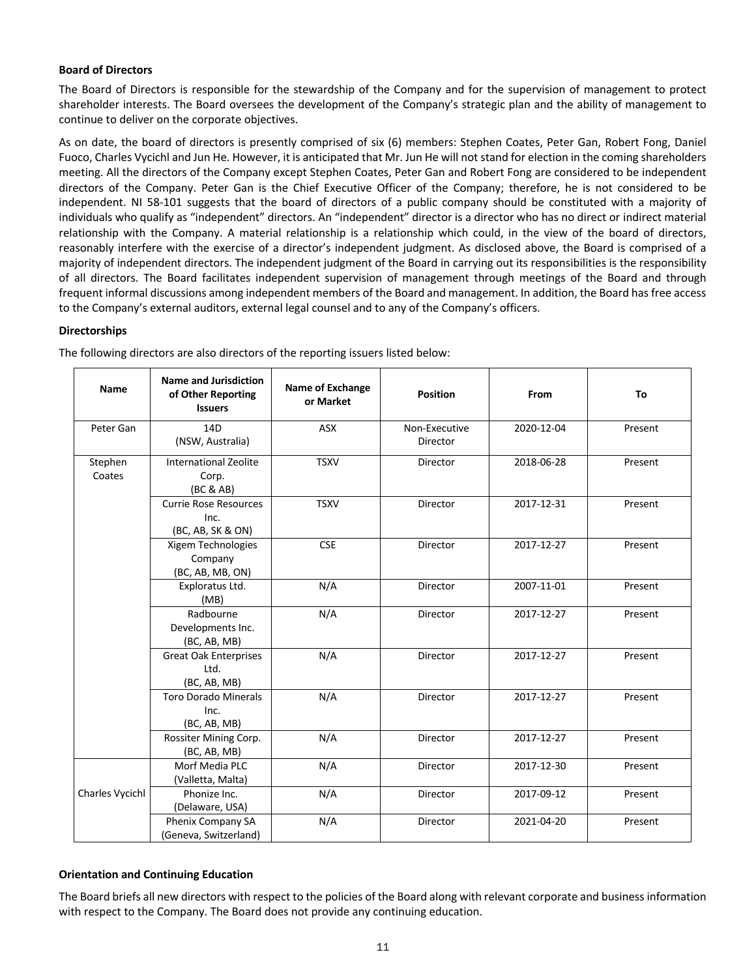## **Board of Directors**

The Board of Directors is responsible for the stewardship of the Company and for the supervision of management to protect shareholder interests. The Board oversees the development of the Company's strategic plan and the ability of management to continue to deliver on the corporate objectives.

As on date, the board of directors is presently comprised of six (6) members: Stephen Coates, Peter Gan, Robert Fong, Daniel Fuoco, Charles Vycichl and Jun He. However, it is anticipated that Mr. Jun He will not stand for election in the coming shareholders meeting. All the directors of the Company except Stephen Coates, Peter Gan and Robert Fong are considered to be independent directors of the Company. Peter Gan is the Chief Executive Officer of the Company; therefore, he is not considered to be independent. NI 58-101 suggests that the board of directors of a public company should be constituted with a majority of individuals who qualify as "independent" directors. An "independent" director is a director who has no direct or indirect material relationship with the Company. A material relationship is a relationship which could, in the view of the board of directors, reasonably interfere with the exercise of a director's independent judgment. As disclosed above, the Board is comprised of a majority of independent directors. The independent judgment of the Board in carrying out its responsibilities is the responsibility of all directors. The Board facilitates independent supervision of management through meetings of the Board and through frequent informal discussions among independent members of the Board and management. In addition, the Board has free access to the Company's external auditors, external legal counsel and to any of the Company's officers.

#### **Directorships**

|                   | <b>Name</b> | <b>Name and Jurisdiction</b><br>of Other Reporting<br><b>Issuers</b> | <b>Name of Exchange</b><br>or Market | <b>Position</b>           | From       | To      |
|-------------------|-------------|----------------------------------------------------------------------|--------------------------------------|---------------------------|------------|---------|
|                   | Peter Gan   | 14D<br>(NSW, Australia)                                              | <b>ASX</b>                           | Non-Executive<br>Director | 2020-12-04 | Present |
| Stephen<br>Coates |             | <b>International Zeolite</b><br>Corp.<br>(BC & AB)                   | <b>TSXV</b>                          | Director                  | 2018-06-28 | Present |
|                   |             | <b>Currie Rose Resources</b><br>Inc.<br>(BC, AB, SK & ON)            | <b>TSXV</b>                          | Director                  | 2017-12-31 | Present |
|                   |             | Xigem Technologies<br>Company<br>(BC, AB, MB, ON)                    | <b>CSE</b>                           | Director                  | 2017-12-27 | Present |
|                   |             | Exploratus Ltd.<br>(MB)                                              | N/A                                  | Director                  | 2007-11-01 | Present |
|                   |             | Radbourne<br>Developments Inc.<br>(BC, AB, MB)                       | N/A                                  | Director                  | 2017-12-27 | Present |
|                   |             | <b>Great Oak Enterprises</b><br>Ltd.<br>(BC, AB, MB)                 | N/A                                  | Director                  | 2017-12-27 | Present |
|                   |             | <b>Toro Dorado Minerals</b><br>Inc.<br>(BC, AB, MB)                  | N/A                                  | Director                  | 2017-12-27 | Present |
|                   |             | Rossiter Mining Corp.<br>(BC, AB, MB)                                | N/A                                  | Director                  | 2017-12-27 | Present |
|                   |             | Morf Media PLC<br>(Valletta, Malta)                                  | N/A                                  | Director                  | 2017-12-30 | Present |
| Charles Vycichl   |             | Phonize Inc.<br>(Delaware, USA)                                      | N/A                                  | Director                  | 2017-09-12 | Present |
|                   |             | Phenix Company SA<br>(Geneva, Switzerland)                           | N/A                                  | Director                  | 2021-04-20 | Present |

The following directors are also directors of the reporting issuers listed below:

## **Orientation and Continuing Education**

The Board briefs all new directors with respect to the policies of the Board along with relevant corporate and business information with respect to the Company. The Board does not provide any continuing education.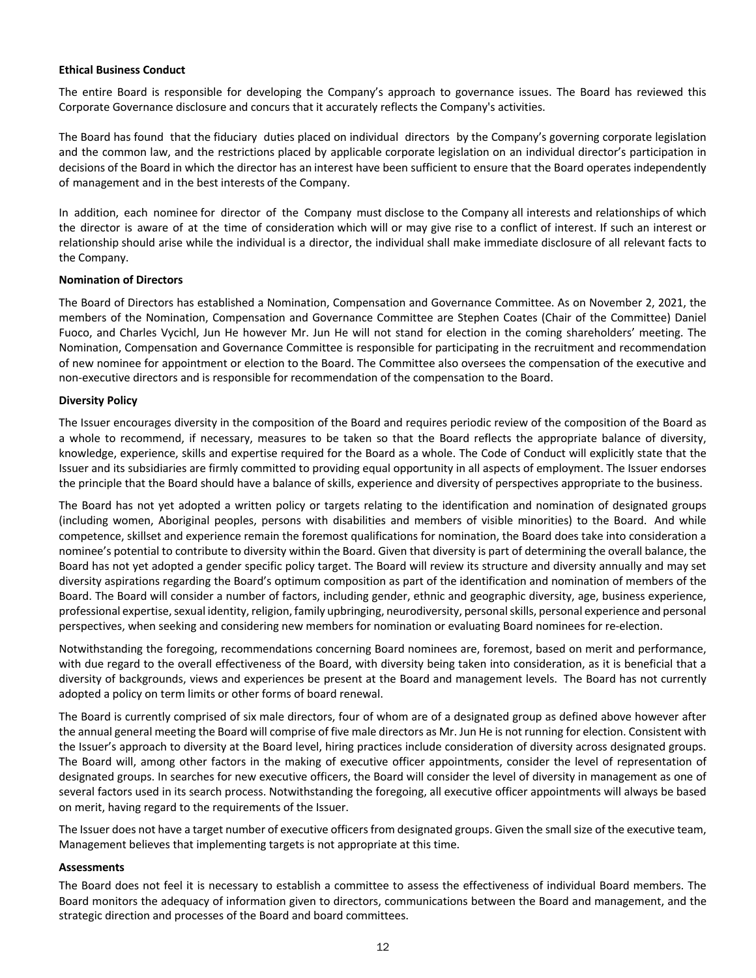#### **Ethical Business Conduct**

The entire Board is responsible for developing the Company's approach to governance issues. The Board has reviewed this Corporate Governance disclosure and concurs that it accurately reflects the Company's activities.

The Board has found that the fiduciary duties placed on individual directors by the Company's governing corporate legislation and the common law, and the restrictions placed by applicable corporate legislation on an individual director's participation in decisions of the Board in which the director has an interest have been sufficient to ensure that the Board operates independently of management and in the best interests of the Company.

In addition, each nominee for director of the Company must disclose to the Company all interests and relationships of which the director is aware of at the time of consideration which will or may give rise to a conflict of interest. If such an interest or relationship should arise while the individual is a director, the individual shall make immediate disclosure of all relevant facts to the Company.

### **Nomination of Directors**

The Board of Directors has established a Nomination, Compensation and Governance Committee. As on November 2, 2021, the members of the Nomination, Compensation and Governance Committee are Stephen Coates (Chair of the Committee) Daniel Fuoco, and Charles Vycichl, Jun He however Mr. Jun He will not stand for election in the coming shareholders' meeting. The Nomination, Compensation and Governance Committee is responsible for participating in the recruitment and recommendation of new nominee for appointment or election to the Board. The Committee also oversees the compensation of the executive and non-executive directors and is responsible for recommendation of the compensation to the Board.

### **Diversity Policy**

The Issuer encourages diversity in the composition of the Board and requires periodic review of the composition of the Board as a whole to recommend, if necessary, measures to be taken so that the Board reflects the appropriate balance of diversity, knowledge, experience, skills and expertise required for the Board as a whole. The Code of Conduct will explicitly state that the Issuer and its subsidiaries are firmly committed to providing equal opportunity in all aspects of employment. The Issuer endorses the principle that the Board should have a balance of skills, experience and diversity of perspectives appropriate to the business.

The Board has not yet adopted a written policy or targets relating to the identification and nomination of designated groups (including women, Aboriginal peoples, persons with disabilities and members of visible minorities) to the Board. And while competence, skillset and experience remain the foremost qualifications for nomination, the Board does take into consideration a nominee's potential to contribute to diversity within the Board. Given that diversity is part of determining the overall balance, the Board has not yet adopted a gender specific policy target. The Board will review its structure and diversity annually and may set diversity aspirations regarding the Board's optimum composition as part of the identification and nomination of members of the Board. The Board will consider a number of factors, including gender, ethnic and geographic diversity, age, business experience, professional expertise, sexual identity, religion, family upbringing, neurodiversity, personal skills, personal experience and personal perspectives, when seeking and considering new members for nomination or evaluating Board nominees for re-election.

Notwithstanding the foregoing, recommendations concerning Board nominees are, foremost, based on merit and performance, with due regard to the overall effectiveness of the Board, with diversity being taken into consideration, as it is beneficial that a diversity of backgrounds, views and experiences be present at the Board and management levels. The Board has not currently adopted a policy on term limits or other forms of board renewal.

The Board is currently comprised of six male directors, four of whom are of a designated group as defined above however after the annual general meeting the Board will comprise of five male directors as Mr. Jun He is not running for election. Consistent with the Issuer's approach to diversity at the Board level, hiring practices include consideration of diversity across designated groups. The Board will, among other factors in the making of executive officer appointments, consider the level of representation of designated groups. In searches for new executive officers, the Board will consider the level of diversity in management as one of several factors used in its search process. Notwithstanding the foregoing, all executive officer appointments will always be based on merit, having regard to the requirements of the Issuer.

The Issuer does not have a target number of executive officers from designated groups. Given the small size of the executive team, Management believes that implementing targets is not appropriate at this time.

#### **Assessments**

The Board does not feel it is necessary to establish a committee to assess the effectiveness of individual Board members. The Board monitors the adequacy of information given to directors, communications between the Board and management, and the strategic direction and processes of the Board and board committees.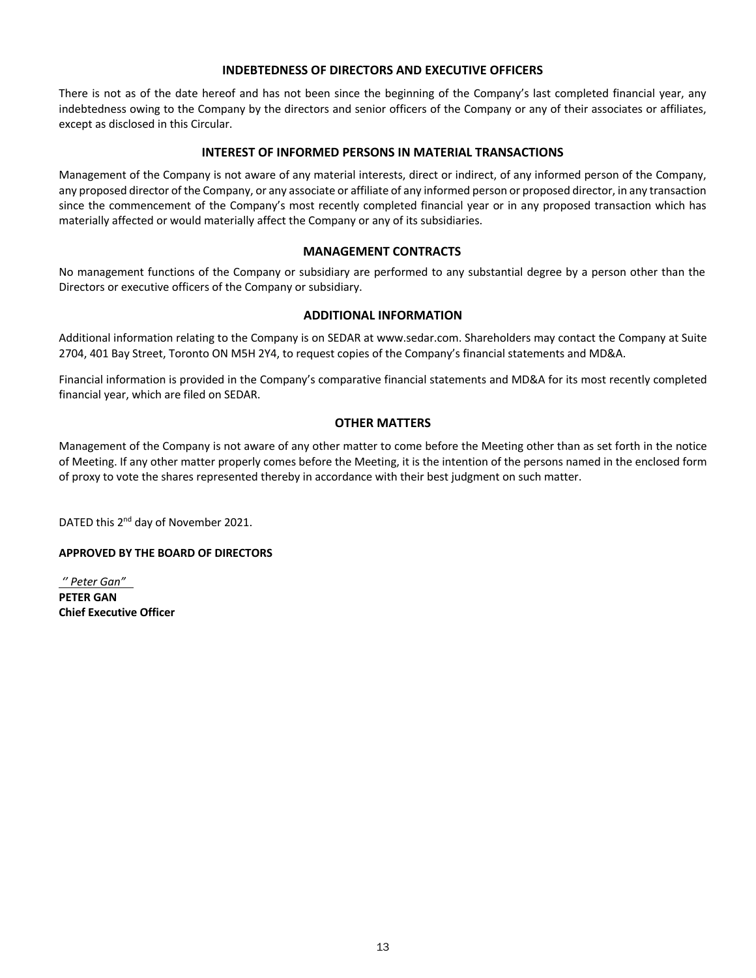## **INDEBTEDNESS OF DIRECTORS AND EXECUTIVE OFFICERS**

There is not as of the date hereof and has not been since the beginning of the Company's last completed financial year, any indebtedness owing to the Company by the directors and senior officers of the Company or any of their associates or affiliates, except as disclosed in this Circular.

## **INTEREST OF INFORMED PERSONS IN MATERIAL TRANSACTIONS**

Management of the Company is not aware of any material interests, direct or indirect, of any informed person of the Company, any proposed director of the Company, or any associate or affiliate of any informed person or proposed director, in any transaction since the commencement of the Company's most recently completed financial year or in any proposed transaction which has materially affected or would materially affect the Company or any of its subsidiaries.

### **MANAGEMENT CONTRACTS**

No management functions of the Company or subsidiary are performed to any substantial degree by a person other than the Directors or executive officers of the Company or subsidiary.

## **ADDITIONAL INFORMATION**

Additional information relating to the Company is on SEDAR at www.sedar.com. Shareholders may contact the Company at Suite 2704, 401 Bay Street, Toronto ON M5H 2Y4, to request copies of the Company's financial statements and MD&A.

Financial information is provided in the Company's comparative financial statements and MD&A for its most recently completed financial year, which are filed on SEDAR.

### **OTHER MATTERS**

Management of the Company is not aware of any other matter to come before the Meeting other than as set forth in the notice of Meeting. If any other matter properly comes before the Meeting, it is the intention of the persons named in the enclosed form of proxy to vote the shares represented thereby in accordance with their best judgment on such matter.

DATED this 2<sup>nd</sup> day of November 2021.

#### **APPROVED BY THE BOARD OF DIRECTORS**

*'' Peter Gan"*  **PETER GAN Chief Executive Officer**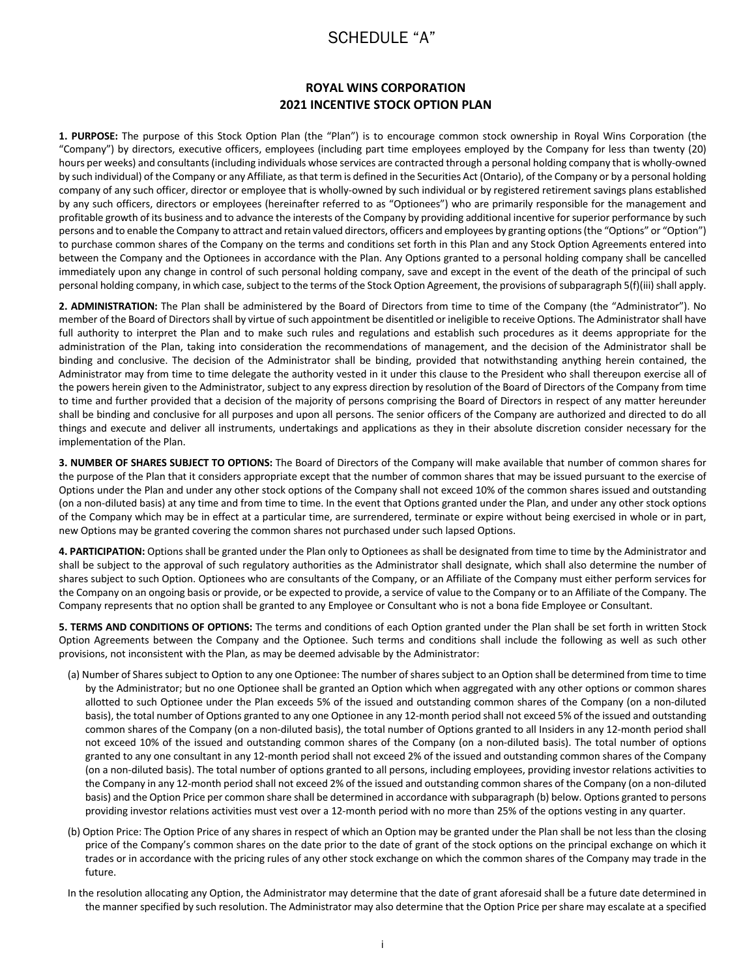## SCHEDULE "A"

## **ROYAL WINS CORPORATION 2021 INCENTIVE STOCK OPTION PLAN**

**1. PURPOSE:** The purpose of this Stock Option Plan (the "Plan") is to encourage common stock ownership in Royal Wins Corporation (the "Company") by directors, executive officers, employees (including part time employees employed by the Company for less than twenty (20) hours per weeks) and consultants (including individuals whose services are contracted through a personal holding company that is wholly-owned by such individual) of the Company or any Affiliate, as that term is defined in the Securities Act (Ontario), of the Company or by a personal holding company of any such officer, director or employee that is wholly-owned by such individual or by registered retirement savings plans established by any such officers, directors or employees (hereinafter referred to as "Optionees") who are primarily responsible for the management and profitable growth of its business and to advance the interests of the Company by providing additional incentive for superior performance by such persons and to enable the Company to attract and retain valued directors, officers and employees by granting options (the "Options" or "Option") to purchase common shares of the Company on the terms and conditions set forth in this Plan and any Stock Option Agreements entered into between the Company and the Optionees in accordance with the Plan. Any Options granted to a personal holding company shall be cancelled immediately upon any change in control of such personal holding company, save and except in the event of the death of the principal of such personal holding company, in which case, subject to the terms of the Stock Option Agreement, the provisions of subparagraph 5(f)(iii) shall apply.

**2. ADMINISTRATION:** The Plan shall be administered by the Board of Directors from time to time of the Company (the "Administrator"). No member of the Board of Directors shall by virtue of such appointment be disentitled or ineligible to receive Options. The Administrator shall have full authority to interpret the Plan and to make such rules and regulations and establish such procedures as it deems appropriate for the administration of the Plan, taking into consideration the recommendations of management, and the decision of the Administrator shall be binding and conclusive. The decision of the Administrator shall be binding, provided that notwithstanding anything herein contained, the Administrator may from time to time delegate the authority vested in it under this clause to the President who shall thereupon exercise all of the powers herein given to the Administrator, subject to any express direction by resolution of the Board of Directors of the Company from time to time and further provided that a decision of the majority of persons comprising the Board of Directors in respect of any matter hereunder shall be binding and conclusive for all purposes and upon all persons. The senior officers of the Company are authorized and directed to do all things and execute and deliver all instruments, undertakings and applications as they in their absolute discretion consider necessary for the implementation of the Plan.

**3. NUMBER OF SHARES SUBJECT TO OPTIONS:** The Board of Directors of the Company will make available that number of common shares for the purpose of the Plan that it considers appropriate except that the number of common shares that may be issued pursuant to the exercise of Options under the Plan and under any other stock options of the Company shall not exceed 10% of the common shares issued and outstanding (on a non-diluted basis) at any time and from time to time. In the event that Options granted under the Plan, and under any other stock options of the Company which may be in effect at a particular time, are surrendered, terminate or expire without being exercised in whole or in part, new Options may be granted covering the common shares not purchased under such lapsed Options.

**4. PARTICIPATION:** Options shall be granted under the Plan only to Optionees as shall be designated from time to time by the Administrator and shall be subject to the approval of such regulatory authorities as the Administrator shall designate, which shall also determine the number of shares subject to such Option. Optionees who are consultants of the Company, or an Affiliate of the Company must either perform services for the Company on an ongoing basis or provide, or be expected to provide, a service of value to the Company or to an Affiliate of the Company. The Company represents that no option shall be granted to any Employee or Consultant who is not a bona fide Employee or Consultant.

**5. TERMS AND CONDITIONS OF OPTIONS:** The terms and conditions of each Option granted under the Plan shall be set forth in written Stock Option Agreements between the Company and the Optionee. Such terms and conditions shall include the following as well as such other provisions, not inconsistent with the Plan, as may be deemed advisable by the Administrator:

- (a) Number of Shares subject to Option to any one Optionee: The number of shares subject to an Option shall be determined from time to time by the Administrator; but no one Optionee shall be granted an Option which when aggregated with any other options or common shares allotted to such Optionee under the Plan exceeds 5% of the issued and outstanding common shares of the Company (on a non-diluted basis), the total number of Options granted to any one Optionee in any 12-month period shall not exceed 5% of the issued and outstanding common shares of the Company (on a non-diluted basis), the total number of Options granted to all Insiders in any 12-month period shall not exceed 10% of the issued and outstanding common shares of the Company (on a non-diluted basis). The total number of options granted to any one consultant in any 12-month period shall not exceed 2% of the issued and outstanding common shares of the Company (on a non-diluted basis). The total number of options granted to all persons, including employees, providing investor relations activities to the Company in any 12-month period shall not exceed 2% of the issued and outstanding common shares of the Company (on a non-diluted basis) and the Option Price per common share shall be determined in accordance with subparagraph (b) below. Options granted to persons providing investor relations activities must vest over a 12-month period with no more than 25% of the options vesting in any quarter.
- (b) Option Price: The Option Price of any shares in respect of which an Option may be granted under the Plan shall be not less than the closing price of the Company's common shares on the date prior to the date of grant of the stock options on the principal exchange on which it trades or in accordance with the pricing rules of any other stock exchange on which the common shares of the Company may trade in the future.
- In the resolution allocating any Option, the Administrator may determine that the date of grant aforesaid shall be a future date determined in the manner specified by such resolution. The Administrator may also determine that the Option Price per share may escalate at a specified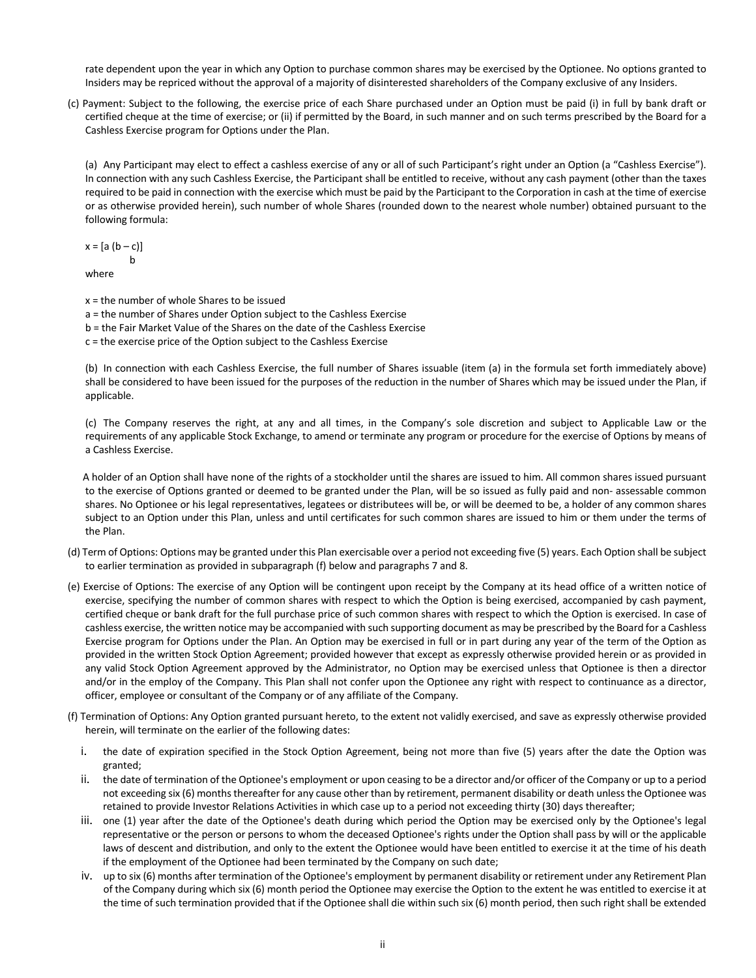rate dependent upon the year in which any Option to purchase common shares may be exercised by the Optionee. No options granted to Insiders may be repriced without the approval of a majority of disinterested shareholders of the Company exclusive of any Insiders.

(c) Payment: Subject to the following, the exercise price of each Share purchased under an Option must be paid (i) in full by bank draft or certified cheque at the time of exercise; or (ii) if permitted by the Board, in such manner and on such terms prescribed by the Board for a Cashless Exercise program for Options under the Plan.

(a) Any Participant may elect to effect a cashless exercise of any or all of such Participant's right under an Option (a "Cashless Exercise"). In connection with any such Cashless Exercise, the Participant shall be entitled to receive, without any cash payment (other than the taxes required to be paid in connection with the exercise which must be paid by the Participant to the Corporation in cash at the time of exercise or as otherwise provided herein), such number of whole Shares (rounded down to the nearest whole number) obtained pursuant to the following formula:

 $x = [a (b - c)]$ b

where

- x = the number of whole Shares to be issued
- a = the number of Shares under Option subject to the Cashless Exercise
- b = the Fair Market Value of the Shares on the date of the Cashless Exercise
- c = the exercise price of the Option subject to the Cashless Exercise

(b) In connection with each Cashless Exercise, the full number of Shares issuable (item (a) in the formula set forth immediately above) shall be considered to have been issued for the purposes of the reduction in the number of Shares which may be issued under the Plan, if applicable.

(c) The Company reserves the right, at any and all times, in the Company's sole discretion and subject to Applicable Law or the requirements of any applicable Stock Exchange, to amend or terminate any program or procedure for the exercise of Options by means of a Cashless Exercise.

 A holder of an Option shall have none of the rights of a stockholder until the shares are issued to him. All common shares issued pursuant to the exercise of Options granted or deemed to be granted under the Plan, will be so issued as fully paid and non- assessable common shares. No Optionee or his legal representatives, legatees or distributees will be, or will be deemed to be, a holder of any common shares subject to an Option under this Plan, unless and until certificates for such common shares are issued to him or them under the terms of the Plan.

- (d) Term of Options: Options may be granted under this Plan exercisable over a period not exceeding five (5) years. Each Option shall be subject to earlier termination as provided in subparagraph (f) below and paragraphs 7 and 8.
- (e) Exercise of Options: The exercise of any Option will be contingent upon receipt by the Company at its head office of a written notice of exercise, specifying the number of common shares with respect to which the Option is being exercised, accompanied by cash payment, certified cheque or bank draft for the full purchase price of such common shares with respect to which the Option is exercised. In case of cashless exercise, the written notice may be accompanied with such supporting document as may be prescribed by the Board for a Cashless Exercise program for Options under the Plan. An Option may be exercised in full or in part during any year of the term of the Option as provided in the written Stock Option Agreement; provided however that except as expressly otherwise provided herein or as provided in any valid Stock Option Agreement approved by the Administrator, no Option may be exercised unless that Optionee is then a director and/or in the employ of the Company. This Plan shall not confer upon the Optionee any right with respect to continuance as a director, officer, employee or consultant of the Company or of any affiliate of the Company.
- (f) Termination of Options: Any Option granted pursuant hereto, to the extent not validly exercised, and save as expressly otherwise provided herein, will terminate on the earlier of the following dates:
	- i. the date of expiration specified in the Stock Option Agreement, being not more than five (5) years after the date the Option was granted;
	- ii. the date of termination of the Optionee's employment or upon ceasing to be a director and/or officer of the Company or up to a period not exceeding six (6) months thereafter for any cause other than by retirement, permanent disability or death unless the Optionee was retained to provide Investor Relations Activities in which case up to a period not exceeding thirty (30) days thereafter;
	- iii. one (1) year after the date of the Optionee's death during which period the Option may be exercised only by the Optionee's legal representative or the person or persons to whom the deceased Optionee's rights under the Option shall pass by will or the applicable laws of descent and distribution, and only to the extent the Optionee would have been entitled to exercise it at the time of his death if the employment of the Optionee had been terminated by the Company on such date;
	- iv. up to six (6) months after termination of the Optionee's employment by permanent disability or retirement under any Retirement Plan of the Company during which six (6) month period the Optionee may exercise the Option to the extent he was entitled to exercise it at the time of such termination provided that if the Optionee shall die within such six (6) month period, then such right shall be extended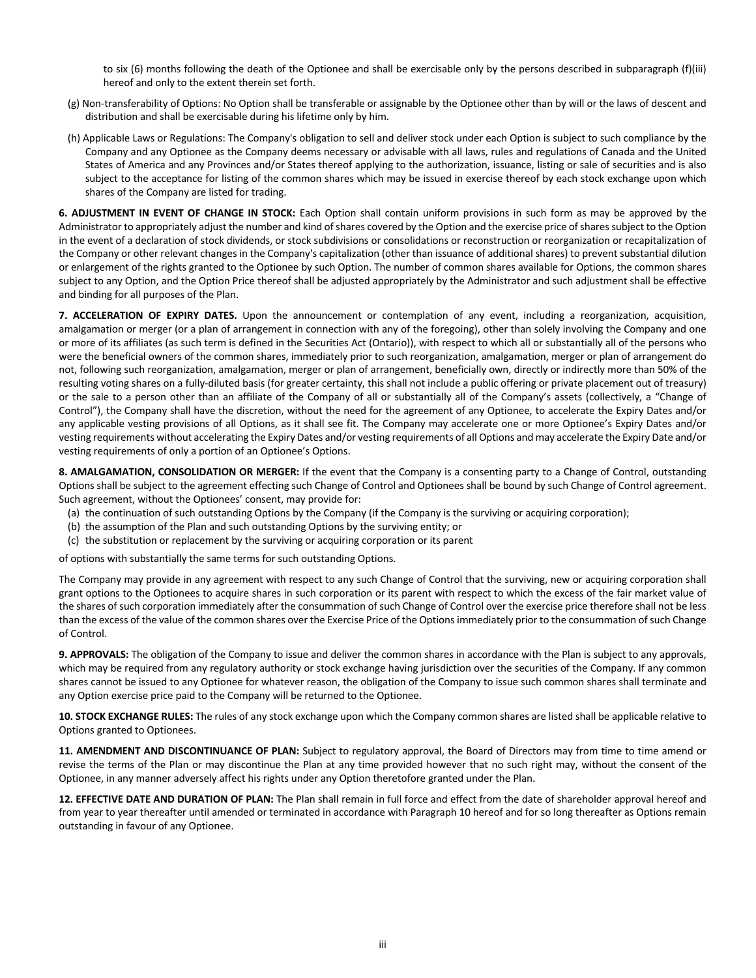to six (6) months following the death of the Optionee and shall be exercisable only by the persons described in subparagraph (f)(iii) hereof and only to the extent therein set forth.

- (g) Non-transferability of Options: No Option shall be transferable or assignable by the Optionee other than by will or the laws of descent and distribution and shall be exercisable during his lifetime only by him.
- (h) Applicable Laws or Regulations: The Company's obligation to sell and deliver stock under each Option is subject to such compliance by the Company and any Optionee as the Company deems necessary or advisable with all laws, rules and regulations of Canada and the United States of America and any Provinces and/or States thereof applying to the authorization, issuance, listing or sale of securities and is also subject to the acceptance for listing of the common shares which may be issued in exercise thereof by each stock exchange upon which shares of the Company are listed for trading.

**6. ADJUSTMENT IN EVENT OF CHANGE IN STOCK:** Each Option shall contain uniform provisions in such form as may be approved by the Administrator to appropriately adjust the number and kind of shares covered by the Option and the exercise price of shares subject to the Option in the event of a declaration of stock dividends, or stock subdivisions or consolidations or reconstruction or reorganization or recapitalization of the Company or other relevant changes in the Company's capitalization (other than issuance of additional shares) to prevent substantial dilution or enlargement of the rights granted to the Optionee by such Option. The number of common shares available for Options, the common shares subject to any Option, and the Option Price thereof shall be adjusted appropriately by the Administrator and such adjustment shall be effective and binding for all purposes of the Plan.

**7. ACCELERATION OF EXPIRY DATES.** Upon the announcement or contemplation of any event, including a reorganization, acquisition, amalgamation or merger (or a plan of arrangement in connection with any of the foregoing), other than solely involving the Company and one or more of its affiliates (as such term is defined in the Securities Act (Ontario)), with respect to which all or substantially all of the persons who were the beneficial owners of the common shares, immediately prior to such reorganization, amalgamation, merger or plan of arrangement do not, following such reorganization, amalgamation, merger or plan of arrangement, beneficially own, directly or indirectly more than 50% of the resulting voting shares on a fully-diluted basis (for greater certainty, this shall not include a public offering or private placement out of treasury) or the sale to a person other than an affiliate of the Company of all or substantially all of the Company's assets (collectively, a "Change of Control"), the Company shall have the discretion, without the need for the agreement of any Optionee, to accelerate the Expiry Dates and/or any applicable vesting provisions of all Options, as it shall see fit. The Company may accelerate one or more Optionee's Expiry Dates and/or vesting requirements without accelerating the Expiry Dates and/or vesting requirements of all Options and may accelerate the Expiry Date and/or vesting requirements of only a portion of an Optionee's Options.

**8. AMALGAMATION, CONSOLIDATION OR MERGER:** If the event that the Company is a consenting party to a Change of Control, outstanding Options shall be subject to the agreement effecting such Change of Control and Optionees shall be bound by such Change of Control agreement. Such agreement, without the Optionees' consent, may provide for:

- (a) the continuation of such outstanding Options by the Company (if the Company is the surviving or acquiring corporation);
- (b) the assumption of the Plan and such outstanding Options by the surviving entity; or
- (c) the substitution or replacement by the surviving or acquiring corporation or its parent

of options with substantially the same terms for such outstanding Options.

The Company may provide in any agreement with respect to any such Change of Control that the surviving, new or acquiring corporation shall grant options to the Optionees to acquire shares in such corporation or its parent with respect to which the excess of the fair market value of the shares of such corporation immediately after the consummation of such Change of Control over the exercise price therefore shall not be less than the excess of the value of the common shares over the Exercise Price of the Options immediately prior to the consummation of such Change of Control.

**9. APPROVALS:** The obligation of the Company to issue and deliver the common shares in accordance with the Plan is subject to any approvals, which may be required from any regulatory authority or stock exchange having jurisdiction over the securities of the Company. If any common shares cannot be issued to any Optionee for whatever reason, the obligation of the Company to issue such common shares shall terminate and any Option exercise price paid to the Company will be returned to the Optionee.

**10. STOCK EXCHANGE RULES:** The rules of any stock exchange upon which the Company common shares are listed shall be applicable relative to Options granted to Optionees.

**11. AMENDMENT AND DISCONTINUANCE OF PLAN:** Subject to regulatory approval, the Board of Directors may from time to time amend or revise the terms of the Plan or may discontinue the Plan at any time provided however that no such right may, without the consent of the Optionee, in any manner adversely affect his rights under any Option theretofore granted under the Plan.

**12. EFFECTIVE DATE AND DURATION OF PLAN:** The Plan shall remain in full force and effect from the date of shareholder approval hereof and from year to year thereafter until amended or terminated in accordance with Paragraph 10 hereof and for so long thereafter as Options remain outstanding in favour of any Optionee.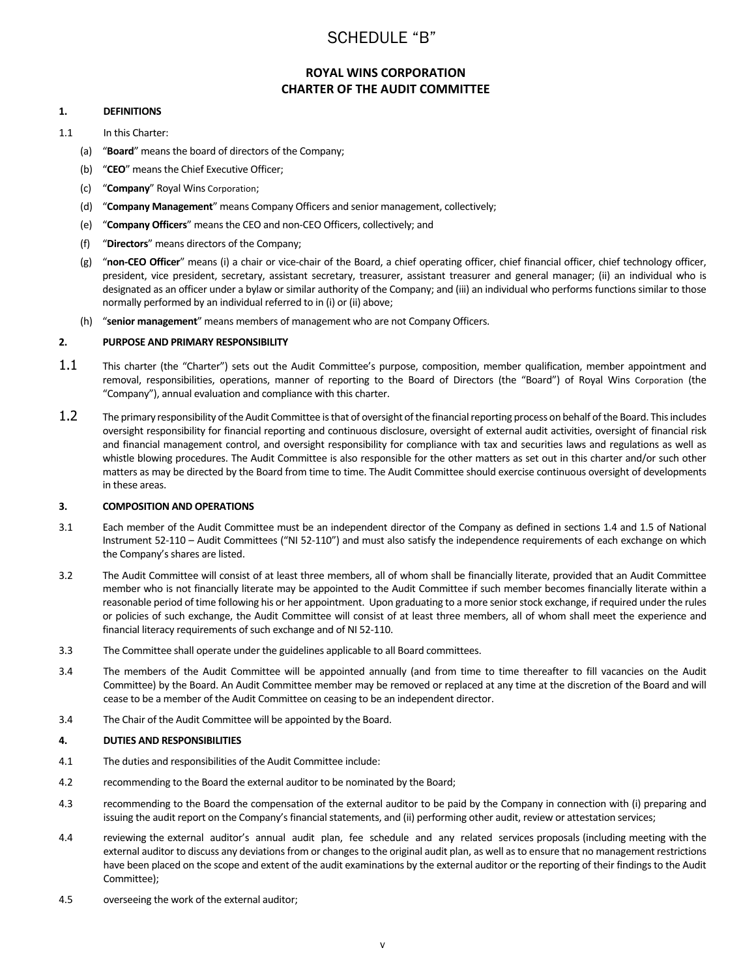## SCHEDULE "B"

## **ROYAL WINS CORPORATION CHARTER OF THE AUDIT COMMITTEE**

#### **1. DEFINITIONS**

- 1.1 In this Charter:
	- (a) "**Board**" means the board of directors of the Company;
	- (b) "**CEO**" means the Chief Executive Officer;
	- (c) "**Company**" Royal Wins Corporation;
	- (d) "**Company Management**" means Company Officers and senior management, collectively;
	- (e) "**Company Officers**" means the CEO and non-CEO Officers, collectively; and
	- (f) "**Directors**" means directors of the Company;
	- (g) "**non-CEO Officer**" means (i) a chair or vice-chair of the Board, a chief operating officer, chief financial officer, chief technology officer, president, vice president, secretary, assistant secretary, treasurer, assistant treasurer and general manager; (ii) an individual who is designated as an officer under a bylaw or similar authority of the Company; and (iii) an individual who performs functions similar to those normally performed by an individual referred to in (i) or (ii) above;
	- (h) "**senior management**" means members of management who are not Company Officers.

#### **2. PURPOSE AND PRIMARY RESPONSIBILITY**

- 1.1 This charter (the "Charter") sets out the Audit Committee's purpose, composition, member qualification, member appointment and removal, responsibilities, operations, manner of reporting to the Board of Directors (the "Board") of Royal Wins Corporation (the "Company"), annual evaluation and compliance with this charter.
- 1.2 The primary responsibility of the Audit Committee is that of oversight of the financial reporting process on behalf of the Board. This includes oversight responsibility for financial reporting and continuous disclosure, oversight of external audit activities, oversight of financial risk and financial management control, and oversight responsibility for compliance with tax and securities laws and regulations as well as whistle blowing procedures. The Audit Committee is also responsible for the other matters as set out in this charter and/or such other matters as may be directed by the Board from time to time. The Audit Committee should exercise continuous oversight of developments in these areas.

#### **3. COMPOSITION AND OPERATIONS**

- 3.1 Each member of the Audit Committee must be an independent director of the Company as defined in sections 1.4 and 1.5 of National Instrument 52-110 – Audit Committees ("NI 52-110") and must also satisfy the independence requirements of each exchange on which the Company's shares are listed.
- 3.2 The Audit Committee will consist of at least three members, all of whom shall be financially literate, provided that an Audit Committee member who is not financially literate may be appointed to the Audit Committee if such member becomes financially literate within a reasonable period of time following his or her appointment. Upon graduating to a more senior stock exchange, if required under the rules or policies of such exchange, the Audit Committee will consist of at least three members, all of whom shall meet the experience and financial literacy requirements of such exchange and of NI 52-110.
- 3.3 The Committee shall operate under the guidelines applicable to all Board committees.
- 3.4 The members of the Audit Committee will be appointed annually (and from time to time thereafter to fill vacancies on the Audit Committee) by the Board. An Audit Committee member may be removed or replaced at any time at the discretion of the Board and will cease to be a member of the Audit Committee on ceasing to be an independent director.
- 3.4 The Chair of the Audit Committee will be appointed by the Board.

#### **4. DUTIES AND RESPONSIBILITIES**

- 4.1 The duties and responsibilities of the Audit Committee include:
- 4.2 recommending to the Board the external auditor to be nominated by the Board;
- 4.3 recommending to the Board the compensation of the external auditor to be paid by the Company in connection with (i) preparing and issuing the audit report on the Company's financial statements, and (ii) performing other audit, review or attestation services;
- 4.4 reviewing the external auditor's annual audit plan, fee schedule and any related services proposals (including meeting with the external auditor to discuss any deviations from or changes to the original audit plan, as well as to ensure that no management restrictions have been placed on the scope and extent of the audit examinations by the external auditor or the reporting of their findings to the Audit Committee);
- 4.5 overseeing the work of the external auditor;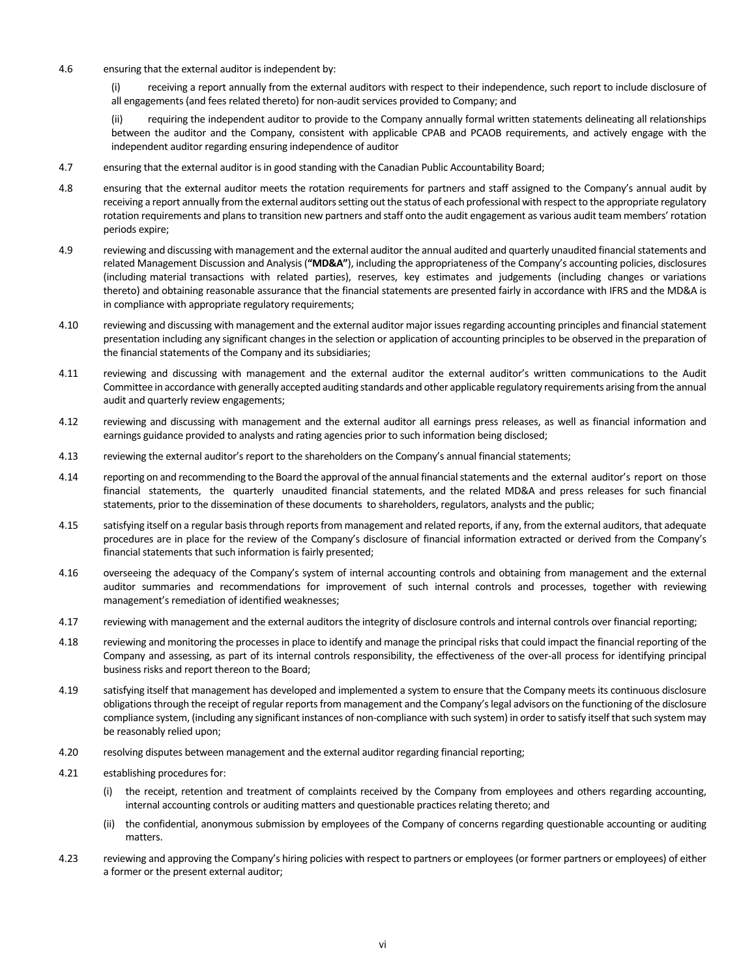4.6 ensuring that the external auditor is independent by:

(i) receiving a report annually from the external auditors with respect to their independence, such report to include disclosure of all engagements (and fees related thereto) for non-audit services provided to Company; and

(ii) requiring the independent auditor to provide to the Company annually formal written statements delineating all relationships between the auditor and the Company, consistent with applicable CPAB and PCAOB requirements, and actively engage with the independent auditor regarding ensuring independence of auditor

- 4.7 ensuring that the external auditor is in good standing with the Canadian Public Accountability Board;
- 4.8 ensuring that the external auditor meets the rotation requirements for partners and staff assigned to the Company's annual audit by receiving a report annually from the external auditors setting out the status of each professional with respect to the appropriate regulatory rotation requirements and plans to transition new partners and staff onto the audit engagement as various audit team members' rotation periods expire;
- 4.9 reviewing and discussing with management and the external auditor the annual audited and quarterly unaudited financial statements and related Management Discussion and Analysis (**"MD&A"**), including the appropriateness of the Company's accounting policies, disclosures (including material transactions with related parties), reserves, key estimates and judgements (including changes or variations thereto) and obtaining reasonable assurance that the financial statements are presented fairly in accordance with IFRS and the MD&A is in compliance with appropriate regulatory requirements;
- 4.10 reviewing and discussing with management and the external auditor major issues regarding accounting principles and financial statement presentation including any significant changes in the selection or application of accounting principles to be observed in the preparation of the financial statements of the Company and its subsidiaries;
- 4.11 reviewing and discussing with management and the external auditor the external auditor's written communications to the Audit Committee in accordance with generally accepted auditing standards and other applicable regulatory requirements arising from the annual audit and quarterly review engagements;
- 4.12 reviewing and discussing with management and the external auditor all earnings press releases, as well as financial information and earnings guidance provided to analysts and rating agencies prior to such information being disclosed;
- 4.13 reviewing the external auditor's report to the shareholders on the Company's annual financial statements;
- 4.14 reporting on and recommending to the Board the approval of the annual financial statements and the external auditor's report on those financial statements, the quarterly unaudited financial statements, and the related MD&A and press releases for such financial statements, prior to the dissemination of these documents to shareholders, regulators, analysts and the public;
- 4.15 satisfying itself on a regular basis through reports from management and related reports, if any, from the external auditors, that adequate procedures are in place for the review of the Company's disclosure of financial information extracted or derived from the Company's financial statements that such information is fairly presented;
- 4.16 overseeing the adequacy of the Company's system of internal accounting controls and obtaining from management and the external auditor summaries and recommendations for improvement of such internal controls and processes, together with reviewing management's remediation of identified weaknesses;
- 4.17 reviewing with management and the external auditors the integrity of disclosure controls and internal controls over financial reporting;
- 4.18 reviewing and monitoring the processes in place to identify and manage the principal risks that could impact the financial reporting of the Company and assessing, as part of its internal controls responsibility, the effectiveness of the over-all process for identifying principal business risks and report thereon to the Board;
- 4.19 satisfying itself that management has developed and implemented a system to ensure that the Company meets its continuous disclosure obligations through the receipt of regular reports from management and the Company's legal advisors on the functioning of the disclosure compliance system, (including any significant instances of non-compliance with such system) in order to satisfy itself that such system may be reasonably relied upon;
- 4.20 resolving disputes between management and the external auditor regarding financial reporting;
- 4.21 establishing procedures for:
	- (i) the receipt, retention and treatment of complaints received by the Company from employees and others regarding accounting, internal accounting controls or auditing matters and questionable practices relating thereto; and
	- (ii) the confidential, anonymous submission by employees of the Company of concerns regarding questionable accounting or auditing matters.
- 4.23 reviewing and approving the Company's hiring policies with respect to partners or employees (or former partners or employees) of either a former or the present external auditor;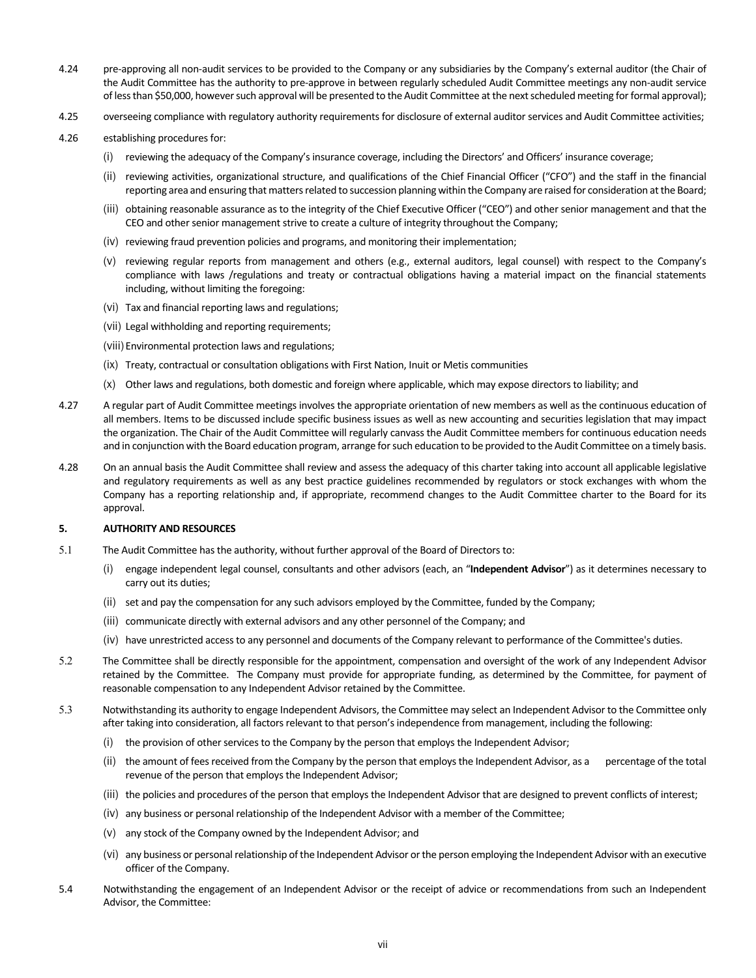- 4.24 pre-approving all non-audit services to be provided to the Company or any subsidiaries by the Company's external auditor (the Chair of the Audit Committee has the authority to pre-approve in between regularly scheduled Audit Committee meetings any non-audit service of less than \$50,000, however such approval will be presented to the Audit Committee at the next scheduled meeting for formal approval);
- 4.25 overseeing compliance with regulatory authority requirements for disclosure of external auditor services and Audit Committee activities;
- 4.26 establishing procedures for:
	- (i) reviewing the adequacy of the Company's insurance coverage, including the Directors' and Officers' insurance coverage;
	- (ii) reviewing activities, organizational structure, and qualifications of the Chief Financial Officer ("CFO") and the staff in the financial reporting area and ensuring that matters related to succession planning within the Company are raised for consideration at the Board;
	- (iii) obtaining reasonable assurance as to the integrity of the Chief Executive Officer ("CEO") and other senior management and that the CEO and other senior management strive to create a culture of integrity throughout the Company;
	- (iv) reviewing fraud prevention policies and programs, and monitoring their implementation;
	- (v) reviewing regular reports from management and others (e.g., external auditors, legal counsel) with respect to the Company's compliance with laws /regulations and treaty or contractual obligations having a material impact on the financial statements including, without limiting the foregoing:
	- (vi) Tax and financial reporting laws and regulations;
	- (vii) Legal withholding and reporting requirements;
	- (viii) Environmental protection laws and regulations;
	- (ix) Treaty, contractual or consultation obligations with First Nation, Inuit or Metis communities
	- (x) Other laws and regulations, both domestic and foreign where applicable, which may expose directors to liability; and
- 4.27 A regular part of Audit Committee meetings involves the appropriate orientation of new members as well as the continuous education of all members. Items to be discussed include specific business issues as well as new accounting and securities legislation that may impact the organization. The Chair of the Audit Committee will regularly canvass the Audit Committee members for continuous education needs and in conjunction with the Board education program, arrange for such education to be provided to the Audit Committee on a timely basis.
- 4.28 On an annual basis the Audit Committee shall review and assess the adequacy of this charter taking into account all applicable legislative and regulatory requirements as well as any best practice guidelines recommended by regulators or stock exchanges with whom the Company has a reporting relationship and, if appropriate, recommend changes to the Audit Committee charter to the Board for its approval.

#### **5. AUTHORITY AND RESOURCES**

- 5.1 The Audit Committee has the authority, without further approval of the Board of Directors to:
	- (i) engage independent legal counsel, consultants and other advisors (each, an "**Independent Advisor**") as it determines necessary to carry out its duties;
	- (ii) set and pay the compensation for any such advisors employed by the Committee, funded by the Company;
	- (iii) communicate directly with external advisors and any other personnel of the Company; and
	- (iv) have unrestricted access to any personnel and documents of the Company relevant to performance of the Committee's duties.
- 5.2 The Committee shall be directly responsible for the appointment, compensation and oversight of the work of any Independent Advisor retained by the Committee. The Company must provide for appropriate funding, as determined by the Committee, for payment of reasonable compensation to any Independent Advisor retained by the Committee.
- 5.3 Notwithstanding its authority to engage Independent Advisors, the Committee may select an Independent Advisor to the Committee only after taking into consideration, all factors relevant to that person's independence from management, including the following:
	- (i) the provision of other services to the Company by the person that employs the Independent Advisor;
	- (ii) the amount of fees received from the Company by the person that employs the Independent Advisor, as a percentage of the total revenue of the person that employs the Independent Advisor;
	- (iii) the policies and procedures of the person that employs the Independent Advisor that are designed to prevent conflicts of interest;
	- (iv) any business or personal relationship of the Independent Advisor with a member of the Committee;
	- (v) any stock of the Company owned by the Independent Advisor; and
	- (vi) any business or personal relationship of the Independent Advisor or the person employing the Independent Advisor with an executive officer of the Company.
- 5.4 Notwithstanding the engagement of an Independent Advisor or the receipt of advice or recommendations from such an Independent Advisor, the Committee: